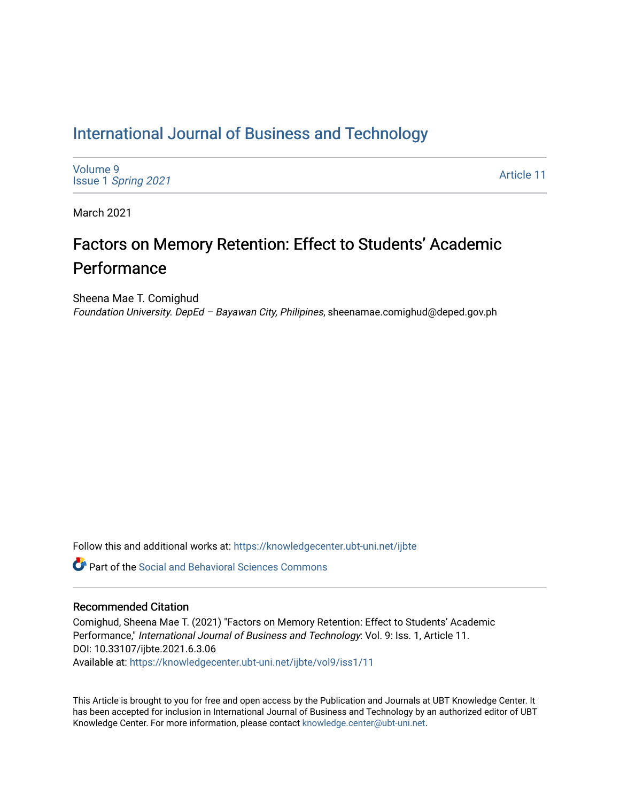# [International Journal of Business and Technology](https://knowledgecenter.ubt-uni.net/ijbte)

[Volume 9](https://knowledgecenter.ubt-uni.net/ijbte/vol9) Issue 1 [Spring 2021](https://knowledgecenter.ubt-uni.net/ijbte/vol9/iss1) 

[Article 11](https://knowledgecenter.ubt-uni.net/ijbte/vol9/iss1/11) 

March 2021

# Factors on Memory Retention: Effect to Students' Academic Performance

Sheena Mae T. Comighud Foundation University. DepEd – Bayawan City, Philipines, sheenamae.comighud@deped.gov.ph

Follow this and additional works at: [https://knowledgecenter.ubt-uni.net/ijbte](https://knowledgecenter.ubt-uni.net/ijbte?utm_source=knowledgecenter.ubt-uni.net%2Fijbte%2Fvol9%2Fiss1%2F11&utm_medium=PDF&utm_campaign=PDFCoverPages) 

**C** Part of the Social and Behavioral Sciences Commons

#### Recommended Citation

Comighud, Sheena Mae T. (2021) "Factors on Memory Retention: Effect to Students' Academic Performance," International Journal of Business and Technology: Vol. 9: Iss. 1, Article 11. DOI: 10.33107/ijbte.2021.6.3.06 Available at: [https://knowledgecenter.ubt-uni.net/ijbte/vol9/iss1/11](https://knowledgecenter.ubt-uni.net/ijbte/vol9/iss1/11?utm_source=knowledgecenter.ubt-uni.net%2Fijbte%2Fvol9%2Fiss1%2F11&utm_medium=PDF&utm_campaign=PDFCoverPages) 

This Article is brought to you for free and open access by the Publication and Journals at UBT Knowledge Center. It has been accepted for inclusion in International Journal of Business and Technology by an authorized editor of UBT Knowledge Center. For more information, please contact [knowledge.center@ubt-uni.net](mailto:knowledge.center@ubt-uni.net).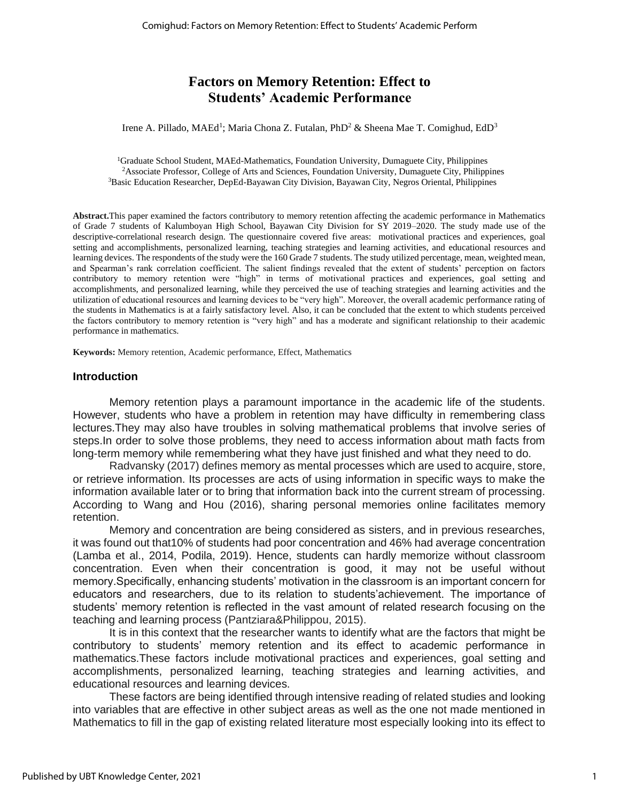# **Factors on Memory Retention: Effect to Students' Academic Performance**

Irene A. Pillado, MAEd<sup>1</sup>; Maria Chona Z. Futalan, PhD<sup>2</sup> & Sheena Mae T. Comighud, EdD<sup>3</sup>

<sup>1</sup>Graduate School Student, MAEd-Mathematics, Foundation University, Dumaguete City, Philippines <sup>2</sup>Associate Professor, College of Arts and Sciences, Foundation University, Dumaguete City, Philippines <sup>3</sup>Basic Education Researcher, DepEd-Bayawan City Division, Bayawan City, Negros Oriental, Philippines

**Abstract.**This paper examined the factors contributory to memory retention affecting the academic performance in Mathematics of Grade 7 students of Kalumboyan High School, Bayawan City Division for SY 2019–2020. The study made use of the descriptive-correlational research design. The questionnaire covered five areas: motivational practices and experiences, goal setting and accomplishments, personalized learning, teaching strategies and learning activities, and educational resources and learning devices. The respondents of the study were the 160 Grade 7 students. The study utilized percentage, mean, weighted mean, and Spearman's rank correlation coefficient. The salient findings revealed that the extent of students' perception on factors contributory to memory retention were "high" in terms of motivational practices and experiences, goal setting and accomplishments, and personalized learning, while they perceived the use of teaching strategies and learning activities and the utilization of educational resources and learning devices to be "very high". Moreover, the overall academic performance rating of the students in Mathematics is at a fairly satisfactory level. Also, it can be concluded that the extent to which students perceived the factors contributory to memory retention is "very high" and has a moderate and significant relationship to their academic performance in mathematics.

**Keywords:** Memory retention, Academic performance, Effect, Mathematics

#### **Introduction**

Memory retention plays a paramount importance in the academic life of the students. However, students who have a problem in retention may have difficulty in remembering class lectures.They may also have troubles in solving mathematical problems that involve series of steps.In order to solve those problems, they need to access information about math facts from long-term memory while remembering what they have just finished and what they need to do.

 Radvansky (2017) defines memory as mental processes which are used to acquire, store, or retrieve information. Its processes are acts of using information in specific ways to make the information available later or to bring that information back into the current stream of processing. According to Wang and Hou (2016), sharing personal memories online facilitates memory retention.

Memory and concentration are being considered as sisters, and in previous researches, it was found out that10% of students had poor concentration and 46% had average concentration (Lamba et al., 2014, Podila, 2019). Hence, students can hardly memorize without classroom concentration. Even when their concentration is good, it may not be useful without memory.Specifically, enhancing students' motivation in the classroom is an important concern for educators and researchers, due to its relation to students'achievement. The importance of students' memory retention is reflected in the vast amount of related research focusing on the teaching and learning process (Pantziara&Philippou, 2015).

It is in this context that the researcher wants to identify what are the factors that might be contributory to students' memory retention and its effect to academic performance in mathematics.These factors include motivational practices and experiences, goal setting and accomplishments, personalized learning, teaching strategies and learning activities, and educational resources and learning devices.

These factors are being identified through intensive reading of related studies and looking into variables that are effective in other subject areas as well as the one not made mentioned in Mathematics to fill in the gap of existing related literature most especially looking into its effect to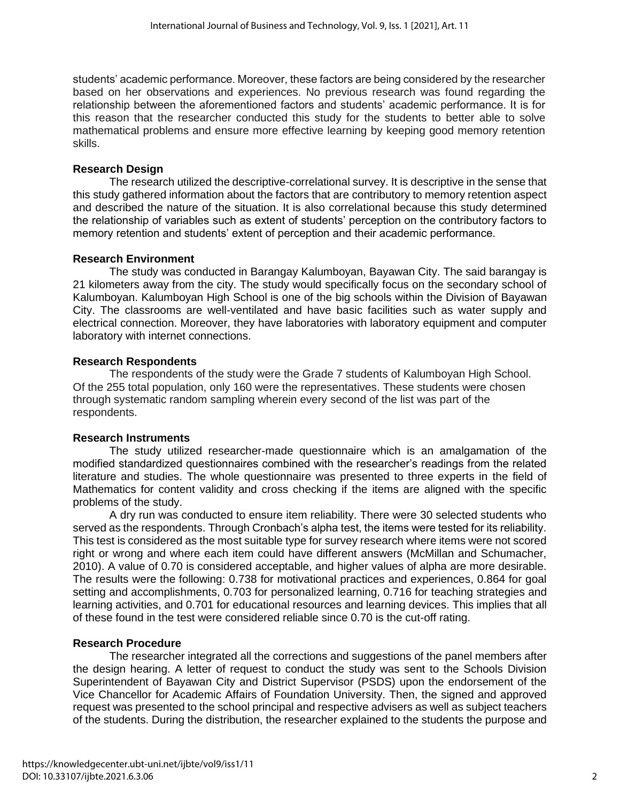students' academic performance. Moreover, these factors are being considered by the researcher based on her observations and experiences. No previous research was found regarding the relationship between the aforementioned factors and students' academic performance. It is for this reason that the researcher conducted this study for the students to better able to solve mathematical problems and ensure more effective learning by keeping good memory retention skills.

#### **Research Design**

The research utilized the descriptive-correlational survey. It is descriptive in the sense that this study gathered information about the factors that are contributory to memory retention aspect and described the nature of the situation. It is also correlational because this study determined the relationship of variables such as extent of students' perception on the contributory factors to memory retention and students' extent of perception and their academic performance.

#### **Research Environment**

The study was conducted in Barangay Kalumboyan, Bayawan City. The said barangay is 21 kilometers away from the city. The study would specifically focus on the secondary school of Kalumboyan. Kalumboyan High School is one of the big schools within the Division of Bayawan City. The classrooms are well-ventilated and have basic facilities such as water supply and electrical connection. Moreover, they have laboratories with laboratory equipment and computer laboratory with internet connections.

#### **Research Respondents**

The respondents of the study were the Grade 7 students of Kalumboyan High School. Of the 255 total population, only 160 were the representatives. These students were chosen through systematic random sampling wherein every second of the list was part of the respondents.

#### **Research Instruments**

The study utilized researcher-made questionnaire which is an amalgamation of the modified standardized questionnaires combined with the researcher's readings from the related literature and studies. The whole questionnaire was presented to three experts in the field of Mathematics for content validity and cross checking if the items are aligned with the specific problems of the study.

A dry run was conducted to ensure item reliability. There were 30 selected students who served as the respondents. Through Cronbach's alpha test, the items were tested for its reliability. This test is considered as the most suitable type for survey research where items were not scored right or wrong and where each item could have different answers (McMillan and Schumacher, 2010). A value of 0.70 is considered acceptable, and higher values of alpha are more desirable. The results were the following: 0.738 for motivational practices and experiences, 0.864 for goal setting and accomplishments, 0.703 for personalized learning, 0.716 for teaching strategies and learning activities, and 0.701 for educational resources and learning devices. This implies that all of these found in the test were considered reliable since 0.70 is the cut-off rating.

### **Research Procedure**

The researcher integrated all the corrections and suggestions of the panel members after the design hearing. A letter of request to conduct the study was sent to the Schools Division Superintendent of Bayawan City and District Supervisor (PSDS) upon the endorsement of the Vice Chancellor for Academic Affairs of Foundation University. Then, the signed and approved request was presented to the school principal and respective advisers as well as subject teachers of the students. During the distribution, the researcher explained to the students the purpose and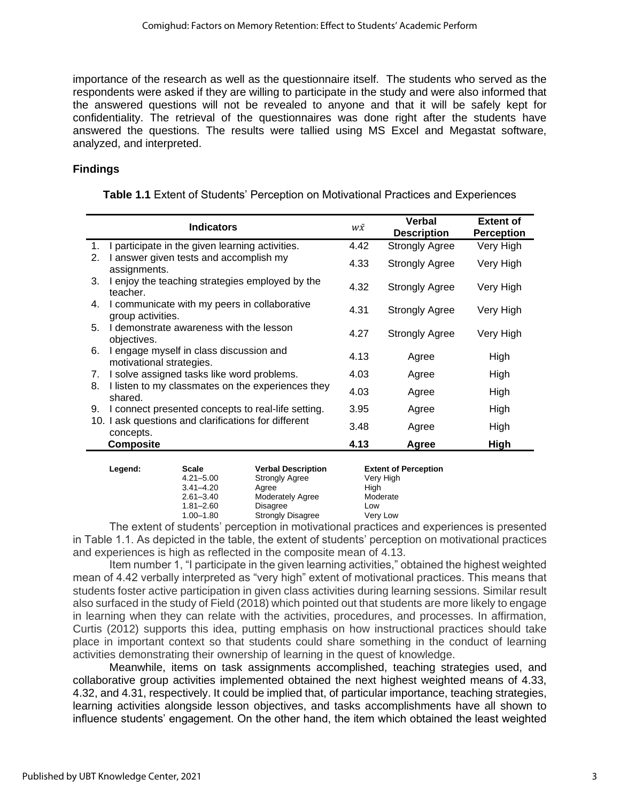importance of the research as well as the questionnaire itself. The students who served as the respondents were asked if they are willing to participate in the study and were also informed that the answered questions will not be revealed to anyone and that it will be safely kept for confidentiality. The retrieval of the questionnaires was done right after the students have answered the questions. The results were tallied using MS Excel and Megastat software, analyzed, and interpreted.

## **Findings**

| <b>Table 1.1</b> Extent of Students' Perception on Motivational Practices and Experiences |  |  |  |  |
|-------------------------------------------------------------------------------------------|--|--|--|--|
|-------------------------------------------------------------------------------------------|--|--|--|--|

| <b>Indicators</b>                                                         | w $\bar{x}$ | <b>Verbal</b><br><b>Description</b> | <b>Extent of</b><br><b>Perception</b> |
|---------------------------------------------------------------------------|-------------|-------------------------------------|---------------------------------------|
| I participate in the given learning activities.<br>1.                     | 4.42        | <b>Strongly Agree</b>               | Very High                             |
| I answer given tests and accomplish my<br>2.<br>assignments.              | 4.33        | <b>Strongly Agree</b>               | Very High                             |
| I enjoy the teaching strategies employed by the<br>3.<br>teacher.         | 4.32        | <b>Strongly Agree</b>               | Very High                             |
| I communicate with my peers in collaborative<br>4.<br>group activities.   | 4.31        | Strongly Agree                      | Very High                             |
| I demonstrate awareness with the lesson<br>5.<br>objectives.              | 4.27        | <b>Strongly Agree</b>               | Very High                             |
| 6.<br>I engage myself in class discussion and<br>motivational strategies. | 4.13        | Agree                               | High                                  |
| I solve assigned tasks like word problems.<br>7.                          | 4.03        | Agree                               | High                                  |
| I listen to my classmates on the experiences they<br>8.<br>shared.        | 4.03        | Agree                               | High                                  |
| I connect presented concepts to real-life setting.<br>9.                  | 3.95        | Agree                               | High                                  |
| 10. I ask questions and clarifications for different<br>concepts.         | 3.48        | Agree                               | High                                  |
| <b>Composite</b>                                                          | 4.13        | Agree                               | High                                  |

| Legend: | Scale         | <b>Verbal Description</b> | <b>Extent of Perception</b> |
|---------|---------------|---------------------------|-----------------------------|
|         | $4.21 - 5.00$ | <b>Strongly Agree</b>     | Very High                   |
|         | $3.41 - 4.20$ | Aaree                     | Hiah                        |
|         | $2.61 - 3.40$ | <b>Moderately Agree</b>   | Moderate                    |
|         | $1.81 - 2.60$ | <b>Disagree</b>           | Low                         |
|         | $1.00 - 1.80$ | <b>Strongly Disagree</b>  | Very Low                    |
|         |               |                           |                             |

The extent of students' perception in motivational practices and experiences is presented in Table 1.1. As depicted in the table, the extent of students' perception on motivational practices and experiences is high as reflected in the composite mean of 4.13.

Item number 1, "I participate in the given learning activities," obtained the highest weighted mean of 4.42 verbally interpreted as "very high" extent of motivational practices. This means that students foster active participation in given class activities during learning sessions. Similar result also surfaced in the study of Field (2018) which pointed out that students are more likely to engage in learning when they can relate with the activities, procedures, and processes. In affirmation, Curtis (2012) supports this idea, putting emphasis on how instructional practices should take place in important context so that students could share something in the conduct of learning activities demonstrating their ownership of learning in the quest of knowledge.

Meanwhile, items on task assignments accomplished, teaching strategies used, and collaborative group activities implemented obtained the next highest weighted means of 4.33, 4.32, and 4.31, respectively. It could be implied that, of particular importance, teaching strategies, learning activities alongside lesson objectives, and tasks accomplishments have all shown to influence students' engagement. On the other hand, the item which obtained the least weighted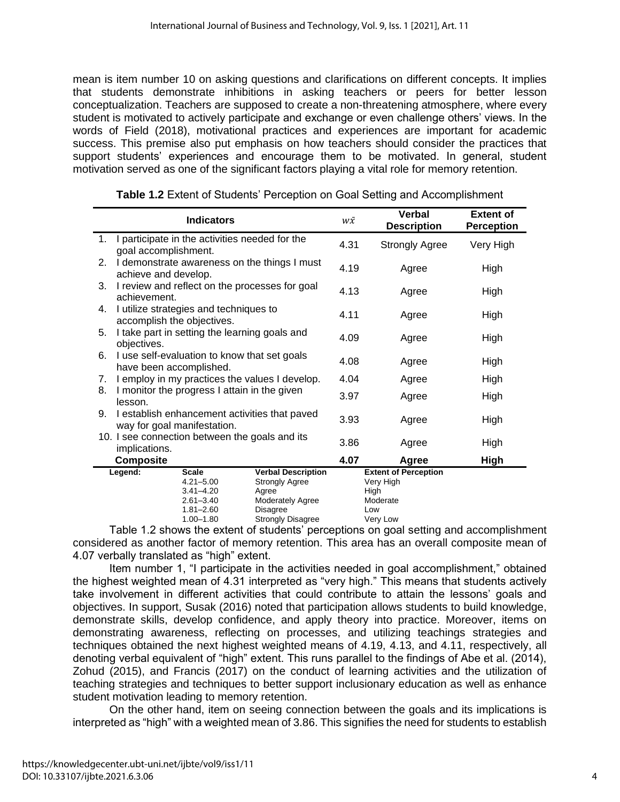mean is item number 10 on asking questions and clarifications on different concepts. It implies that students demonstrate inhibitions in asking teachers or peers for better lesson conceptualization. Teachers are supposed to create a non-threatening atmosphere, where every student is motivated to actively participate and exchange or even challenge others' views. In the words of Field (2018), motivational practices and experiences are important for academic success. This premise also put emphasis on how teachers should consider the practices that support students' experiences and encourage them to be motivated. In general, student motivation served as one of the significant factors playing a vital role for memory retention.

|                                                | <b>Indicators</b>                                                            |                                                | w $\bar{x}$ | <b>Verbal</b><br><b>Description</b> | <b>Extent of</b><br><b>Perception</b> |
|------------------------------------------------|------------------------------------------------------------------------------|------------------------------------------------|-------------|-------------------------------------|---------------------------------------|
| 1.                                             | goal accomplishment.                                                         | I participate in the activities needed for the |             | <b>Strongly Agree</b>               | Very High                             |
| 2.                                             | I demonstrate awareness on the things I must<br>achieve and develop.         |                                                | 4.19        | Agree                               | High                                  |
| 3.                                             | I review and reflect on the processes for goal<br>achievement.               |                                                | 4.13        | Agree                               | High                                  |
| 4.                                             | I utilize strategies and techniques to<br>accomplish the objectives.         |                                                | 4.11        | Agree                               | High                                  |
| 5.                                             | I take part in setting the learning goals and<br>objectives.                 |                                                | 4.09        | Agree                               | High                                  |
| 6.                                             | I use self-evaluation to know that set goals<br>have been accomplished.      |                                                |             | Agree                               | High                                  |
| 7.                                             | I employ in my practices the values I develop.                               |                                                | 4.04        | Agree                               | High                                  |
| 8.                                             | I monitor the progress I attain in the given<br>lesson.                      |                                                | 3.97        | Agree                               | High                                  |
| 9.                                             | I establish enhancement activities that paved<br>way for goal manifestation. |                                                | 3.93        | Agree                               | High                                  |
| 10. I see connection between the goals and its |                                                                              | 3.86                                           | Agree       | High                                |                                       |
|                                                | implications.<br><b>Composite</b>                                            |                                                | 4.07        | Agree                               | High                                  |
|                                                | Legend:<br><b>Scale</b>                                                      | <b>Verbal Description</b>                      |             | <b>Extent of Perception</b>         |                                       |
|                                                | $4.21 - 5.00$                                                                | <b>Strongly Agree</b>                          |             | Very High                           |                                       |
|                                                | $3.41 - 4.20$                                                                | Agree                                          |             | High                                |                                       |
|                                                | $2.61 - 3.40$                                                                | <b>Moderately Agree</b>                        |             | Moderate                            |                                       |
|                                                | $1.81 - 2.60$                                                                | Disagree                                       |             | Low                                 |                                       |
|                                                | $1.00 - 1.80$                                                                | <b>Strongly Disagree</b>                       |             | Very Low                            |                                       |

**Table 1.2** Extent of Students' Perception on Goal Setting and Accomplishment

Table 1.2 shows the extent of students' perceptions on goal setting and accomplishment considered as another factor of memory retention. This area has an overall composite mean of 4.07 verbally translated as "high" extent.

Item number 1, "I participate in the activities needed in goal accomplishment," obtained the highest weighted mean of 4.31 interpreted as "very high." This means that students actively take involvement in different activities that could contribute to attain the lessons' goals and objectives. In support, Susak (2016) noted that participation allows students to build knowledge, demonstrate skills, develop confidence, and apply theory into practice. Moreover, items on demonstrating awareness, reflecting on processes, and utilizing teachings strategies and techniques obtained the next highest weighted means of 4.19, 4.13, and 4.11, respectively, all denoting verbal equivalent of "high" extent. This runs parallel to the findings of Abe et al. (2014), Zohud (2015), and Francis (2017) on the conduct of learning activities and the utilization of teaching strategies and techniques to better support inclusionary education as well as enhance student motivation leading to memory retention.

On the other hand, item on seeing connection between the goals and its implications is interpreted as "high" with a weighted mean of 3.86. This signifies the need for students to establish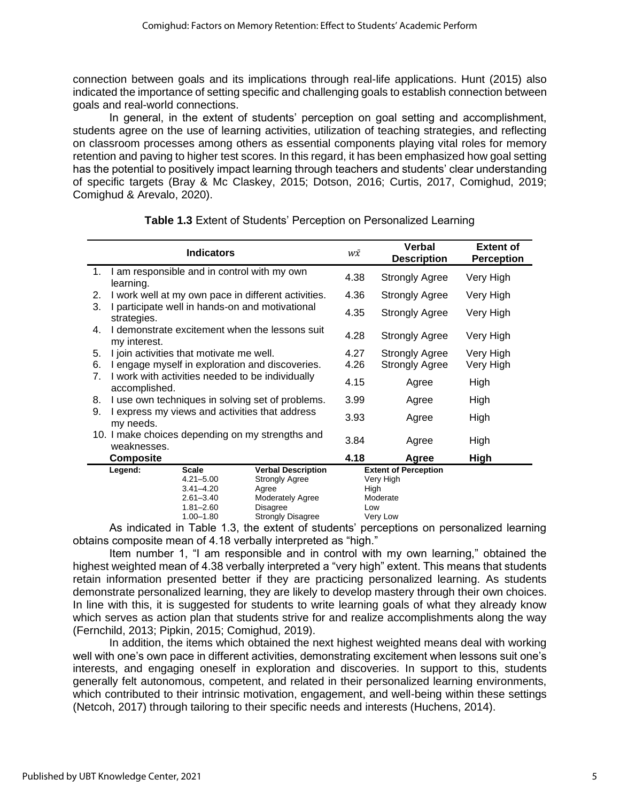connection between goals and its implications through real-life applications. Hunt (2015) also indicated the importance of setting specific and challenging goals to establish connection between goals and real-world connections.

In general, in the extent of students' perception on goal setting and accomplishment, students agree on the use of learning activities, utilization of teaching strategies, and reflecting on classroom processes among others as essential components playing vital roles for memory retention and paving to higher test scores. In this regard, it has been emphasized how goal setting has the potential to positively impact learning through teachers and students' clear understanding of specific targets (Bray & Mc Claskey, 2015; Dotson, 2016; Curtis, 2017, Comighud, 2019; Comighud & Arevalo, 2020).

|                  | <b>Indicators</b>                                                 |                                                                                                   |                                                                                                                                       | w $\bar{x}$ | Verbal<br><b>Description</b>                                     | <b>Extent of</b><br><b>Perception</b> |
|------------------|-------------------------------------------------------------------|---------------------------------------------------------------------------------------------------|---------------------------------------------------------------------------------------------------------------------------------------|-------------|------------------------------------------------------------------|---------------------------------------|
| 1.               | learning.                                                         | I am responsible and in control with my own                                                       |                                                                                                                                       |             | <b>Strongly Agree</b>                                            | Very High                             |
| 2.               |                                                                   |                                                                                                   | I work well at my own pace in different activities.                                                                                   | 4.36        | Strongly Agree                                                   | Very High                             |
| 3.               | I participate well in hands-on and motivational<br>strategies.    |                                                                                                   |                                                                                                                                       | 4.35        | <b>Strongly Agree</b>                                            | Very High                             |
| 4.               | I demonstrate excitement when the lessons suit<br>my interest.    |                                                                                                   |                                                                                                                                       | 4.28        | Strongly Agree                                                   | Very High                             |
| 5.               | I join activities that motivate me well.                          |                                                                                                   |                                                                                                                                       | 4.27        | <b>Strongly Agree</b>                                            | Very High                             |
| 6.               | I engage myself in exploration and discoveries.                   |                                                                                                   |                                                                                                                                       | 4.26        | <b>Strongly Agree</b>                                            | Very High                             |
| 7.               | I work with activities needed to be individually<br>accomplished. |                                                                                                   |                                                                                                                                       | 4.15        | Agree                                                            | High                                  |
| 8.               |                                                                   |                                                                                                   | I use own techniques in solving set of problems.                                                                                      | 3.99        | Agree                                                            | High                                  |
| 9.               | I express my views and activities that address<br>my needs.       |                                                                                                   |                                                                                                                                       | 3.93        | Agree                                                            | High                                  |
|                  | 10. I make choices depending on my strengths and<br>weaknesses.   |                                                                                                   |                                                                                                                                       | 3.84        | Agree                                                            | High                                  |
| <b>Composite</b> |                                                                   |                                                                                                   | 4.18                                                                                                                                  | Agree       | High                                                             |                                       |
|                  | Legend:                                                           | <b>Scale</b><br>$4.21 - 5.00$<br>$3.41 - 4.20$<br>$2.61 - 3.40$<br>$1.81 - 2.60$<br>$1.00 - 1.80$ | <b>Verbal Description</b><br><b>Strongly Agree</b><br>Agree<br><b>Moderately Agree</b><br><b>Disagree</b><br><b>Strongly Disagree</b> | High<br>Low | <b>Extent of Perception</b><br>Very High<br>Moderate<br>Very Low |                                       |

**Table 1.3** Extent of Students' Perception on Personalized Learning

As indicated in Table 1.3, the extent of students' perceptions on personalized learning obtains composite mean of 4.18 verbally interpreted as "high."

Item number 1, "I am responsible and in control with my own learning," obtained the highest weighted mean of 4.38 verbally interpreted a "very high" extent. This means that students retain information presented better if they are practicing personalized learning. As students demonstrate personalized learning, they are likely to develop mastery through their own choices. In line with this, it is suggested for students to write learning goals of what they already know which serves as action plan that students strive for and realize accomplishments along the way (Fernchild, 2013; Pipkin, 2015; Comighud, 2019).

In addition, the items which obtained the next highest weighted means deal with working well with one's own pace in different activities, demonstrating excitement when lessons suit one's interests, and engaging oneself in exploration and discoveries. In support to this, students generally felt autonomous, competent, and related in their personalized learning environments, which contributed to their intrinsic motivation, engagement, and well-being within these settings (Netcoh, 2017) through tailoring to their specific needs and interests (Huchens, 2014).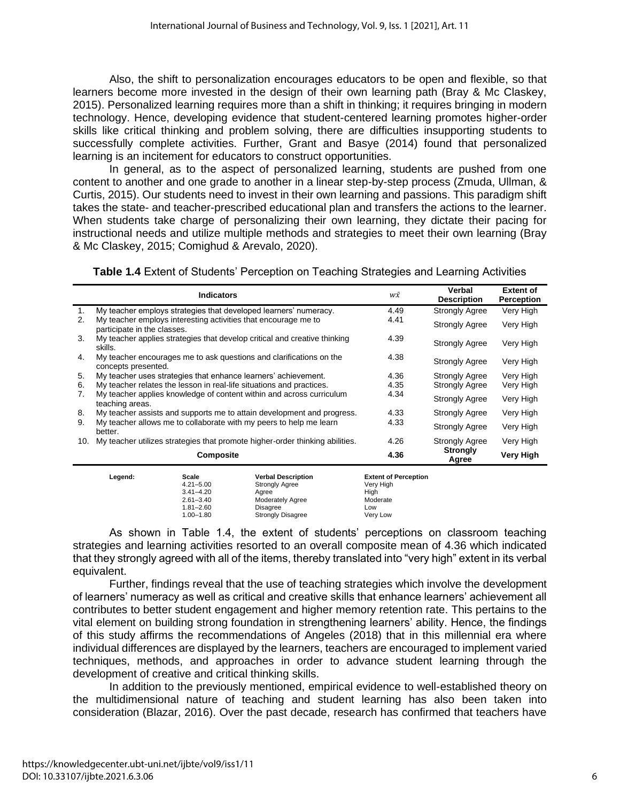Also, the shift to personalization encourages educators to be open and flexible, so that learners become more invested in the design of their own learning path (Bray & Mc Claskey, 2015). Personalized learning requires more than a shift in thinking; it requires bringing in modern technology. Hence, developing evidence that student-centered learning promotes higher-order skills like critical thinking and problem solving, there are difficulties insupporting students to successfully complete activities. Further, Grant and Basye (2014) found that personalized learning is an incitement for educators to construct opportunities.

In general, as to the aspect of personalized learning, students are pushed from one content to another and one grade to another in a linear step-by-step process (Zmuda, Ullman, & Curtis, 2015). Our students need to invest in their own learning and passions. This paradigm shift takes the state- and teacher-prescribed educational plan and transfers the actions to the learner. When students take charge of personalizing their own learning, they dictate their pacing for instructional needs and utilize multiple methods and strategies to meet their own learning (Bray & Mc Claskey, 2015; Comighud & Arevalo, 2020).

**Table 1.4** Extent of Students' Perception on Teaching Strategies and Learning Activities

|     | <b>Indicators</b>                                                                             | w $\bar{x}$ | Verbal<br><b>Description</b> | <b>Extent of</b><br>Perception |
|-----|-----------------------------------------------------------------------------------------------|-------------|------------------------------|--------------------------------|
| 1.  | My teacher employs strategies that developed learners' numeracy.                              | 4.49        | <b>Strongly Agree</b>        | Very High                      |
| 2.  | My teacher employs interesting activities that encourage me to<br>participate in the classes. | 4.41        | <b>Strongly Agree</b>        | Very High                      |
| 3.  | My teacher applies strategies that develop critical and creative thinking<br>skills.          | 4.39        | <b>Strongly Agree</b>        | Very High                      |
| 4.  | My teacher encourages me to ask questions and clarifications on the<br>concepts presented.    | 4.38        | <b>Strongly Agree</b>        | Very High                      |
| 5.  | My teacher uses strategies that enhance learners' achievement.                                | 4.36        | <b>Strongly Agree</b>        | Very High                      |
| 6.  | My teacher relates the lesson in real-life situations and practices.                          | 4.35        | <b>Strongly Agree</b>        | Very High                      |
| 7.  | My teacher applies knowledge of content within and across curriculum<br>teaching areas.       | 4.34        | <b>Strongly Agree</b>        | Very High                      |
| 8.  | My teacher assists and supports me to attain development and progress.                        | 4.33        | <b>Strongly Agree</b>        | Very High                      |
| 9.  | My teacher allows me to collaborate with my peers to help me learn<br>better.                 | 4.33        | <b>Strongly Agree</b>        | Very High                      |
| 10. | My teacher utilizes strategies that promote higher-order thinking abilities.                  | 4.26        | <b>Strongly Agree</b>        | Very High                      |
|     | Composite                                                                                     | 4.36        | <b>Strongly</b><br>Agree     | Very High                      |
|     |                                                                                               |             |                              |                                |

| Legend: | Scale         | <b>Verbal Description</b> | <b>Extent of Perception</b> |
|---------|---------------|---------------------------|-----------------------------|
|         | $4.21 - 5.00$ | <b>Strongly Agree</b>     | Very High                   |
|         | $3.41 - 4.20$ | Aaree                     | Hiah                        |
|         | $2.61 - 3.40$ | <b>Moderately Agree</b>   | Moderate                    |
|         | $1.81 - 2.60$ | Disagree                  | Low                         |
|         | $1.00 - 1.80$ | <b>Strongly Disagree</b>  | Verv Low                    |

As shown in Table 1.4, the extent of students' perceptions on classroom teaching strategies and learning activities resorted to an overall composite mean of 4.36 which indicated that they strongly agreed with all of the items, thereby translated into "very high" extent in its verbal equivalent.

Further, findings reveal that the use of teaching strategies which involve the development of learners' numeracy as well as critical and creative skills that enhance learners' achievement all contributes to better student engagement and higher memory retention rate. This pertains to the vital element on building strong foundation in strengthening learners' ability. Hence, the findings of this study affirms the recommendations of Angeles (2018) that in this millennial era where individual differences are displayed by the learners, teachers are encouraged to implement varied techniques, methods, and approaches in order to advance student learning through the development of creative and critical thinking skills.

In addition to the previously mentioned, empirical evidence to well-established theory on the multidimensional nature of teaching and student learning has also been taken into consideration (Blazar, 2016). Over the past decade, research has confirmed that teachers have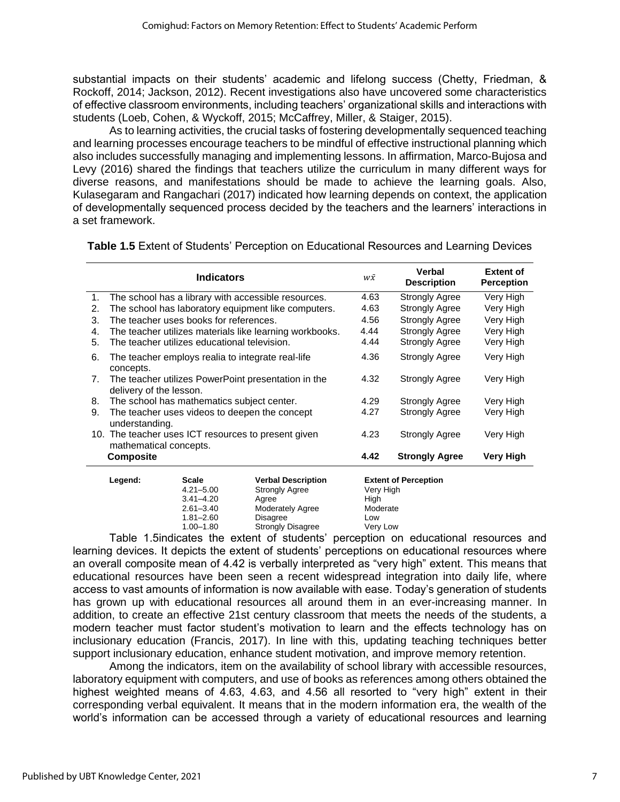substantial impacts on their students' academic and lifelong success (Chetty, Friedman, & Rockoff, 2014; Jackson, 2012). Recent investigations also have uncovered some characteristics of effective classroom environments, including teachers' organizational skills and interactions with students (Loeb, Cohen, & Wyckoff, 2015; McCaffrey, Miller, & Staiger, 2015).

As to learning activities, the crucial tasks of fostering developmentally sequenced teaching and learning processes encourage teachers to be mindful of effective instructional planning which also includes successfully managing and implementing lessons. In affirmation, Marco-Bujosa and Levy (2016) shared the findings that teachers utilize the curriculum in many different ways for diverse reasons, and manifestations should be made to achieve the learning goals. Also, Kulasegaram and Rangachari (2017) indicated how learning depends on context, the application of developmentally sequenced process decided by the teachers and the learners' interactions in a set framework.

**Indicators The Contract of Section** *Verbal* **Description Extent of Perception** 1. The school has a library with accessible resources. 4.63 Strongly Agree Very High 2. The school has laboratory equipment like computers. 4.63 Strongly Agree Very High 3. The teacher uses books for references. 4.56 Strongly Agree Very High 4. The teacher utilizes materials like learning workbooks. 4.44 Strongly Agree Very High 5. The teacher utilizes educational television. 4.44 Strongly Agree Very High 6. The teacher employs realia to integrate real-life concepts. 4.36 Strongly Agree Very High 7. The teacher utilizes PowerPoint presentation in the delivery of the lesson. 4.32 Strongly Agree Very High 8. The school has mathematics subject center. <br>
9. The teacher uses videos to deepen the concept <br>
4.27 Strongly Agree Very High 9. The teacher uses videos to deepen the concept understanding. 4.27 Strongly Agree 10. The teacher uses ICT resources to present given mathematical concepts. 4.23 Strongly Agree Very High  **Composite 4.42 Strongly Agree Very High Legend: Scale Verbal Description Extent of Perception** Strongly Agree 3.41–4.20 Agree High<br>
2.61–3.40 Moderately Agree Moderate 2.61–3.40 Moderately Agree Moderate 1.81–2.60 Disagree Low<br>1.00–1.80 Strongly Disagree Very Low 1.00-1.80 Strongly Disagree

**Table 1.5** Extent of Students' Perception on Educational Resources and Learning Devices

Table 1.5indicates the extent of students' perception on educational resources and learning devices. It depicts the extent of students' perceptions on educational resources where an overall composite mean of 4.42 is verbally interpreted as "very high" extent. This means that educational resources have been seen a recent widespread integration into daily life, where access to vast amounts of information is now available with ease. Today's generation of students has grown up with educational resources all around them in an ever-increasing manner. In addition, to create an effective 21st century classroom that meets the needs of the students, a modern teacher must factor student's motivation to learn and the effects technology has on inclusionary education (Francis, 2017). In line with this, updating teaching techniques better support inclusionary education, enhance student motivation, and improve memory retention.

Among the indicators, item on the availability of school library with accessible resources, laboratory equipment with computers, and use of books as references among others obtained the highest weighted means of 4.63, 4.63, and 4.56 all resorted to "very high" extent in their corresponding verbal equivalent. It means that in the modern information era, the wealth of the world's information can be accessed through a variety of educational resources and learning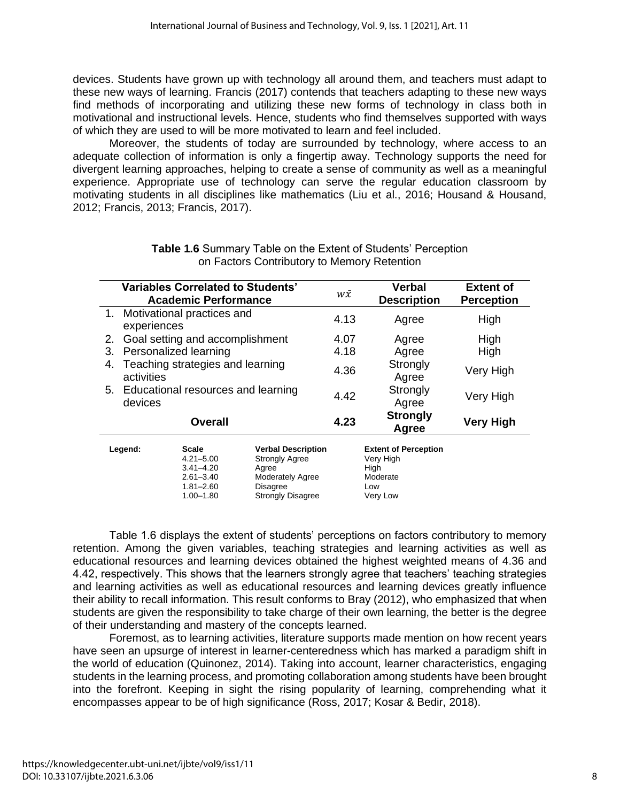devices. Students have grown up with technology all around them, and teachers must adapt to these new ways of learning. Francis (2017) contends that teachers adapting to these new ways find methods of incorporating and utilizing these new forms of technology in class both in motivational and instructional levels. Hence, students who find themselves supported with ways of which they are used to will be more motivated to learn and feel included.

Moreover, the students of today are surrounded by technology, where access to an adequate collection of information is only a fingertip away. Technology supports the need for divergent learning approaches, helping to create a sense of community as well as a meaningful experience. Appropriate use of technology can serve the regular education classroom by motivating students in all disciplines like mathematics (Liu et al., 2016; Housand & Housand, 2012; Francis, 2013; Francis, 2017).

|                | <b>Variables Correlated to Students'</b><br><b>Academic Performance</b> |                                                                                                   |                                                                                                                         | $W\bar{X}$               | <b>Verbal</b><br><b>Description</b>                                             | <b>Extent of</b><br><b>Perception</b> |
|----------------|-------------------------------------------------------------------------|---------------------------------------------------------------------------------------------------|-------------------------------------------------------------------------------------------------------------------------|--------------------------|---------------------------------------------------------------------------------|---------------------------------------|
|                | 1. Motivational practices and<br>experiences                            |                                                                                                   |                                                                                                                         | 4.13                     | Agree                                                                           | High                                  |
| 2.             | Goal setting and accomplishment                                         |                                                                                                   |                                                                                                                         | 4.07                     | Agree                                                                           | High                                  |
| 3.             | Personalized learning                                                   |                                                                                                   |                                                                                                                         | 4.18                     | Agree                                                                           | High                                  |
| 4.             | Teaching strategies and learning<br>activities                          |                                                                                                   |                                                                                                                         | 4.36                     | Strongly<br>Agree                                                               | Very High                             |
|                | 5. Educational resources and learning<br>devices                        |                                                                                                   |                                                                                                                         | 4.42                     | Strongly<br>Agree                                                               | Very High                             |
| <b>Overall</b> |                                                                         |                                                                                                   | 4.23                                                                                                                    | <b>Strongly</b><br>Agree | <b>Very High</b>                                                                |                                       |
|                | Legend:                                                                 | <b>Scale</b><br>$4.21 - 5.00$<br>$3.41 - 4.20$<br>$2.61 - 3.40$<br>$1.81 - 2.60$<br>$1.00 - 1.80$ | <b>Verbal Description</b><br><b>Strongly Agree</b><br>Agree<br>Moderately Agree<br>Disagree<br><b>Strongly Disagree</b> |                          | <b>Extent of Perception</b><br>Very High<br>High<br>Moderate<br>Low<br>Very Low |                                       |

#### **Table 1.6** Summary Table on the Extent of Students' Perception on Factors Contributory to Memory Retention

Table 1.6 displays the extent of students' perceptions on factors contributory to memory retention. Among the given variables, teaching strategies and learning activities as well as educational resources and learning devices obtained the highest weighted means of 4.36 and 4.42, respectively. This shows that the learners strongly agree that teachers' teaching strategies and learning activities as well as educational resources and learning devices greatly influence their ability to recall information. This result conforms to Bray (2012), who emphasized that when students are given the responsibility to take charge of their own learning, the better is the degree of their understanding and mastery of the concepts learned.

Foremost, as to learning activities, literature supports made mention on how recent years have seen an upsurge of interest in learner-centeredness which has marked a paradigm shift in the world of education (Quinonez, 2014). Taking into account, learner characteristics, engaging students in the learning process, and promoting collaboration among students have been brought into the forefront. Keeping in sight the rising popularity of learning, comprehending what it encompasses appear to be of high significance (Ross, 2017; Kosar & Bedir, 2018).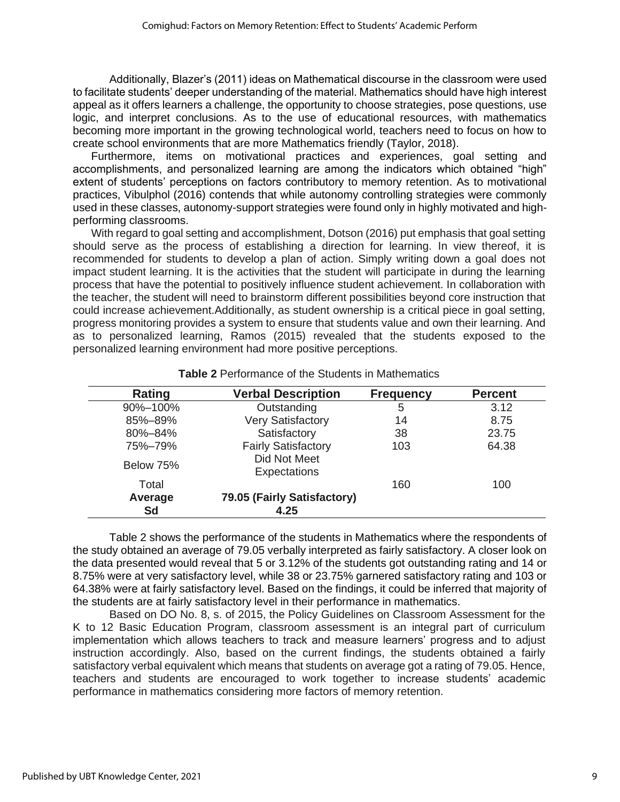Additionally, Blazer's (2011) ideas on Mathematical discourse in the classroom were used to facilitate students' deeper understanding of the material. Mathematics should have high interest appeal as it offers learners a challenge, the opportunity to choose strategies, pose questions, use logic, and interpret conclusions. As to the use of educational resources, with mathematics becoming more important in the growing technological world, teachers need to focus on how to create school environments that are more Mathematics friendly (Taylor, 2018).

Furthermore, items on motivational practices and experiences, goal setting and accomplishments, and personalized learning are among the indicators which obtained "high" extent of students' perceptions on factors contributory to memory retention. As to motivational practices, Vibulphol (2016) contends that while autonomy controlling strategies were commonly used in these classes, autonomy-support strategies were found only in highly motivated and highperforming classrooms.

With regard to goal setting and accomplishment, Dotson (2016) put emphasis that goal setting should serve as the process of establishing a direction for learning. In view thereof, it is recommended for students to develop a plan of action. Simply writing down a goal does not impact student learning. It is the activities that the student will participate in during the learning process that have the potential to positively influence student achievement. In collaboration with the teacher, the student will need to brainstorm different possibilities beyond core instruction that could increase achievement.Additionally, as student ownership is a critical piece in goal setting, progress monitoring provides a system to ensure that students value and own their learning. And as to personalized learning, Ramos (2015) revealed that the students exposed to the personalized learning environment had more positive perceptions.

| Rating        | <b>Verbal Description</b>           | <b>Frequency</b> | <b>Percent</b> |
|---------------|-------------------------------------|------------------|----------------|
| 90%-100%      | Outstanding                         | 5                | 3.12           |
| 85%-89%       | <b>Very Satisfactory</b>            | 14               | 8.75           |
| 80%-84%       | Satisfactory                        | 38               | 23.75          |
| 75%-79%       | <b>Fairly Satisfactory</b>          | 103              | 64.38          |
| Below 75%     | Did Not Meet<br>Expectations        |                  |                |
| Total         |                                     | 160              | 100            |
| Average<br>Sd | 79.05 (Fairly Satisfactory)<br>4.25 |                  |                |

#### **Table 2** Performance of the Students in Mathematics

Table 2 shows the performance of the students in Mathematics where the respondents of the study obtained an average of 79.05 verbally interpreted as fairly satisfactory. A closer look on the data presented would reveal that 5 or 3.12% of the students got outstanding rating and 14 or 8.75% were at very satisfactory level, while 38 or 23.75% garnered satisfactory rating and 103 or 64.38% were at fairly satisfactory level. Based on the findings, it could be inferred that majority of the students are at fairly satisfactory level in their performance in mathematics.

Based on DO No. 8, s. of 2015, the Policy Guidelines on Classroom Assessment for the K to 12 Basic Education Program, classroom assessment is an integral part of curriculum implementation which allows teachers to track and measure learners' progress and to adjust instruction accordingly. Also, based on the current findings, the students obtained a fairly satisfactory verbal equivalent which means that students on average got a rating of 79.05. Hence, teachers and students are encouraged to work together to increase students' academic performance in mathematics considering more factors of memory retention.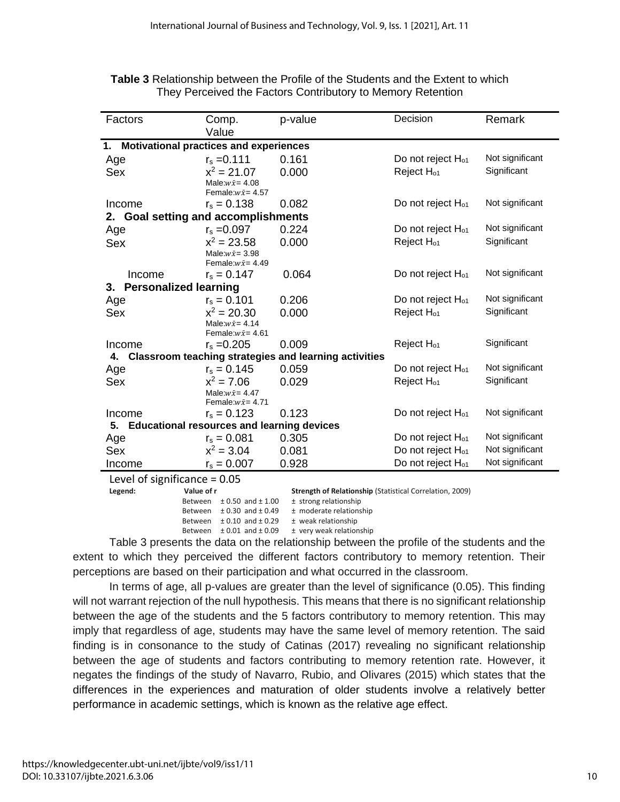| Factors<br>p-value<br>Comp.<br>Value                                              |                                                      |                                                          | Decision                      | Remark          |  |
|-----------------------------------------------------------------------------------|------------------------------------------------------|----------------------------------------------------------|-------------------------------|-----------------|--|
| Motivational practices and experiences<br>1.                                      |                                                      |                                                          |                               |                 |  |
| Age                                                                               | $r_s = 0.111$                                        | 0.161                                                    | Do not reject H <sub>01</sub> | Not significant |  |
| <b>Sex</b>                                                                        | $x^2 = 21.07$                                        | 0.000                                                    | Reject H <sub>01</sub>        | Significant     |  |
|                                                                                   | Male: $w\bar{x}$ = 4.08<br>Female: $w\bar{x}$ = 4.57 |                                                          |                               |                 |  |
| Income                                                                            | $r_s = 0.138$                                        | 0.082                                                    | Do not reject H <sub>01</sub> | Not significant |  |
| <b>Goal setting and accomplishments</b><br>2.                                     |                                                      |                                                          |                               |                 |  |
| Age                                                                               | $r_s = 0.097$                                        | 0.224                                                    | Do not reject H <sub>o1</sub> | Not significant |  |
| <b>Sex</b>                                                                        | $x^2 = 23.58$                                        | 0.000                                                    | Reject H <sub>01</sub>        | Significant     |  |
|                                                                                   | Male: $w\bar{x}$ = 3.98<br>Female: $w\bar{x}$ = 4.49 |                                                          |                               |                 |  |
| Income                                                                            | $r_s = 0.147$                                        | 0.064                                                    | Do not reject H <sub>01</sub> | Not significant |  |
| 3.<br><b>Personalized learning</b>                                                |                                                      |                                                          |                               |                 |  |
| Age                                                                               | $r_s = 0.101$                                        | 0.206                                                    | Do not reject H <sub>o1</sub> | Not significant |  |
| Sex                                                                               | $x^2 = 20.30$                                        | 0.000                                                    | Reject H <sub>01</sub>        | Significant     |  |
|                                                                                   | Male: $w\bar{x}$ = 4.14                              |                                                          |                               |                 |  |
|                                                                                   | Female: $w\bar{x}$ = 4.61                            |                                                          |                               |                 |  |
| Income                                                                            | $r_s = 0.205$                                        | 0.009                                                    | Reject H <sub>01</sub>        | Significant     |  |
|                                                                                   |                                                      | 4. Classroom teaching strategies and learning activities |                               |                 |  |
| Age                                                                               | $r_s = 0.145$                                        | 0.059                                                    | Do not reject H <sub>01</sub> | Not significant |  |
| Sex                                                                               | $x^2 = 7.06$                                         | 0.029                                                    | Reject H <sub>01</sub>        | Significant     |  |
|                                                                                   | Male: $w\bar{x}$ = 4.47                              |                                                          |                               |                 |  |
| Income                                                                            | Female: $w\bar{x}$ = 4.71<br>$r_s = 0.123$           | 0.123                                                    | Do not reject H <sub>01</sub> | Not significant |  |
| 5.                                                                                | <b>Educational resources and learning devices</b>    |                                                          |                               |                 |  |
| Age                                                                               | $r_s = 0.081$                                        | 0.305                                                    | Do not reject H <sub>o1</sub> | Not significant |  |
| Sex                                                                               | $x^2 = 3.04$                                         | 0.081                                                    | Do not reject H <sub>o1</sub> | Not significant |  |
| Income                                                                            | $r_s = 0.007$                                        | 0.928                                                    | Do not reject H <sub>o1</sub> | Not significant |  |
|                                                                                   |                                                      |                                                          |                               |                 |  |
| Level of significance = $0.05$                                                    |                                                      |                                                          |                               |                 |  |
| Strength of Relationship (Statistical Correlation, 2009)<br>Legend:<br>Value of r |                                                      |                                                          |                               |                 |  |

**Table 3** Relationship between the Profile of the Students and the Extent to which They Perceived the Factors Contributory to Memory Retention

> Between  $\pm$  0.50 and  $\pm$  1.00  $\pm$  strong relationship Between  $\pm$  0.30 and  $\pm$  0.49  $\pm$  moderate relationship

Between  $\pm$  0.10 and  $\pm$  0.29  $\pm$  weak relationship

Between  $\pm 0.01$  and  $\pm 0.09$   $\pm$  very weak relationship

Table 3 presents the data on the relationship between the profile of the students and the extent to which they perceived the different factors contributory to memory retention. Their perceptions are based on their participation and what occurred in the classroom.

In terms of age, all p-values are greater than the level of significance (0.05). This finding will not warrant rejection of the null hypothesis. This means that there is no significant relationship between the age of the students and the 5 factors contributory to memory retention. This may imply that regardless of age, students may have the same level of memory retention. The said finding is in consonance to the study of Catinas (2017) revealing no significant relationship between the age of students and factors contributing to memory retention rate. However, it negates the findings of the study of Navarro, Rubio, and Olivares (2015) which states that the differences in the experiences and maturation of older students involve a relatively better performance in academic settings, which is known as the relative age effect.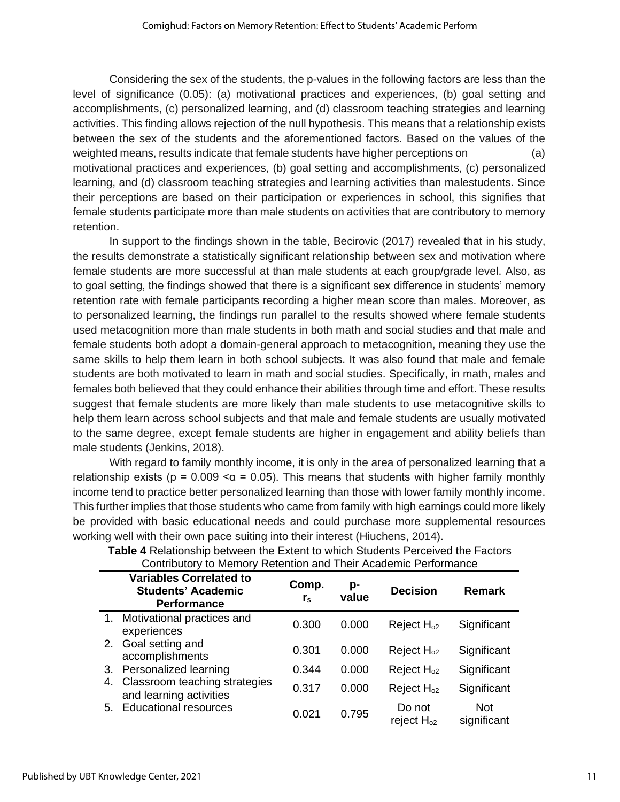Considering the sex of the students, the p-values in the following factors are less than the level of significance (0.05): (a) motivational practices and experiences, (b) goal setting and accomplishments, (c) personalized learning, and (d) classroom teaching strategies and learning activities. This finding allows rejection of the null hypothesis. This means that a relationship exists between the sex of the students and the aforementioned factors. Based on the values of the weighted means, results indicate that female students have higher perceptions on (a) motivational practices and experiences, (b) goal setting and accomplishments, (c) personalized learning, and (d) classroom teaching strategies and learning activities than malestudents. Since their perceptions are based on their participation or experiences in school, this signifies that female students participate more than male students on activities that are contributory to memory retention.

In support to the findings shown in the table, Becirovic (2017) revealed that in his study, the results demonstrate a statistically significant relationship between sex and motivation where female students are more successful at than male students at each group/grade level. Also, as to goal setting, the findings showed that there is a significant sex difference in students' memory retention rate with female participants recording a higher mean score than males. Moreover, as to personalized learning, the findings run parallel to the results showed where female students used metacognition more than male students in both math and social studies and that male and female students both adopt a domain-general approach to metacognition, meaning they use the same skills to help them learn in both school subjects. It was also found that male and female students are both motivated to learn in math and social studies. Specifically, in math, males and females both believed that they could enhance their abilities through time and effort. These results suggest that female students are more likely than male students to use metacognitive skills to help them learn across school subjects and that male and female students are usually motivated to the same degree, except female students are higher in engagement and ability beliefs than male students (Jenkins, 2018).

With regard to family monthly income, it is only in the area of personalized learning that a relationship exists ( $p = 0.009 \le \alpha = 0.05$ ). This means that students with higher family monthly income tend to practice better personalized learning than those with lower family monthly income. This further implies that those students who came from family with high earnings could more likely be provided with basic educational needs and could purchase more supplemental resources working well with their own pace suiting into their interest (Hiuchens, 2014).

|    | Commodivity to internoty inclement and Their Academic Ferromiance                 |                      |             |                           |                           |
|----|-----------------------------------------------------------------------------------|----------------------|-------------|---------------------------|---------------------------|
|    | <b>Variables Correlated to</b><br><b>Students' Academic</b><br><b>Performance</b> | Comp.<br>$r_{\rm s}$ | p-<br>value | <b>Decision</b>           | <b>Remark</b>             |
|    | 1. Motivational practices and<br>experiences                                      | 0.300                | 0.000       | Reject $H_{02}$           | Significant               |
| 2. | Goal setting and<br>accomplishments                                               | 0.301                | 0.000       | Reject $H_{02}$           | Significant               |
| 3. | Personalized learning                                                             | 0.344                | 0.000       | Reject $H_{02}$           | Significant               |
| 4. | Classroom teaching strategies<br>and learning activities                          | 0.317                | 0.000       | Reject $H_{02}$           | Significant               |
| 5. | <b>Educational resources</b>                                                      | 0.021                | 0.795       | Do not<br>reject $H_{02}$ | <b>Not</b><br>significant |

**Table 4** Relationship between the Extent to which Students Perceived the Factors Contributory to Memory Retention and Their Academic Performance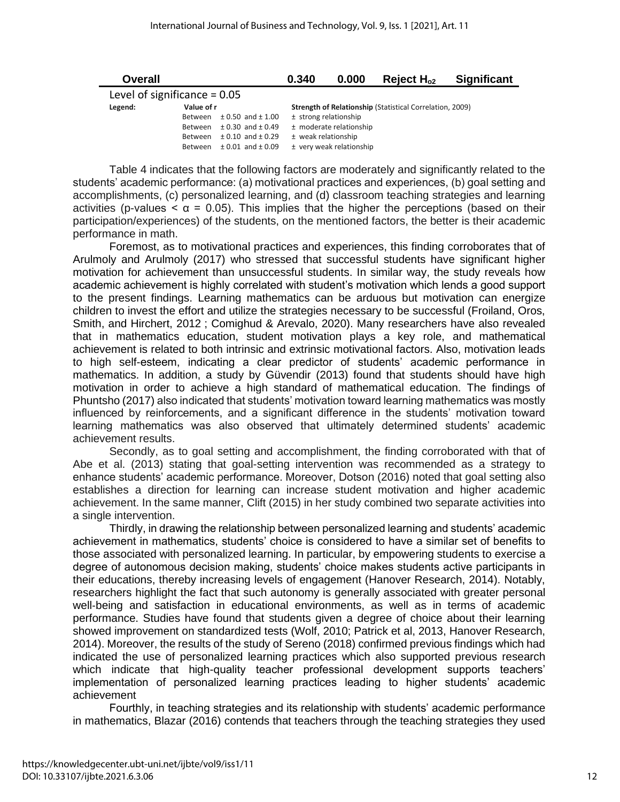| Overall                        |            |                           | 0.340                                                           | 0.000                    | Reject $H_{o2}$ | <b>Significant</b> |
|--------------------------------|------------|---------------------------|-----------------------------------------------------------------|--------------------------|-----------------|--------------------|
| Level of significance = $0.05$ |            |                           |                                                                 |                          |                 |                    |
| Legend:                        | Value of r |                           | <b>Strength of Relationship (Statistical Correlation, 2009)</b> |                          |                 |                    |
|                                | Between    | $± 0.50$ and $± 1.00$     |                                                                 | ± strong relationship    |                 |                    |
|                                | Between    | $\pm$ 0.30 and $\pm$ 0.49 |                                                                 | ± moderate relationship  |                 |                    |
|                                | Between    | $\pm$ 0.10 and $\pm$ 0.29 | ± weak relationship                                             |                          |                 |                    |
|                                | Between    | $± 0.01$ and $± 0.09$     |                                                                 | ± very weak relationship |                 |                    |

Table 4 indicates that the following factors are moderately and significantly related to the students' academic performance: (a) motivational practices and experiences, (b) goal setting and accomplishments, (c) personalized learning, and (d) classroom teaching strategies and learning activities (p-values  $\lt \alpha$  = 0.05). This implies that the higher the perceptions (based on their participation/experiences) of the students, on the mentioned factors, the better is their academic performance in math.

Foremost, as to motivational practices and experiences, this finding corroborates that of Arulmoly and Arulmoly (2017) who stressed that successful students have significant higher motivation for achievement than unsuccessful students. In similar way, the study reveals how academic achievement is highly correlated with student's motivation which lends a good support to the present findings. Learning mathematics can be arduous but motivation can energize children to invest the effort and utilize the strategies necessary to be successful (Froiland, Oros, Smith, and Hirchert, 2012 ; Comighud & Arevalo, 2020). Many researchers have also revealed that in mathematics education, student motivation plays a key role, and mathematical achievement is related to both intrinsic and extrinsic motivational factors. Also, motivation leads to high self-esteem, indicating a clear predictor of students' academic performance in mathematics. In addition, a study by Güvendir (2013) found that students should have high motivation in order to achieve a high standard of mathematical education. The findings of Phuntsho (2017) also indicated that students' motivation toward learning mathematics was mostly influenced by reinforcements, and a significant difference in the students' motivation toward learning mathematics was also observed that ultimately determined students' academic achievement results.

Secondly, as to goal setting and accomplishment, the finding corroborated with that of Abe et al. (2013) stating that goal-setting intervention was recommended as a strategy to enhance students' academic performance. Moreover, Dotson (2016) noted that goal setting also establishes a direction for learning can increase student motivation and higher academic achievement. In the same manner, Clift (2015) in her study combined two separate activities into a single intervention.

Thirdly, in drawing the relationship between personalized learning and students' academic achievement in mathematics, students' choice is considered to have a similar set of benefits to those associated with personalized learning. In particular, by empowering students to exercise a degree of autonomous decision making, students' choice makes students active participants in their educations, thereby increasing levels of engagement (Hanover Research, 2014). Notably, researchers highlight the fact that such autonomy is generally associated with greater personal well-being and satisfaction in educational environments, as well as in terms of academic performance. Studies have found that students given a degree of choice about their learning showed improvement on standardized tests (Wolf, 2010; Patrick et al, 2013, Hanover Research, 2014). Moreover, the results of the study of Sereno (2018) confirmed previous findings which had indicated the use of personalized learning practices which also supported previous research which indicate that high-quality teacher professional development supports teachers' implementation of personalized learning practices leading to higher students' academic achievement

Fourthly, in teaching strategies and its relationship with students' academic performance in mathematics, Blazar (2016) contends that teachers through the teaching strategies they used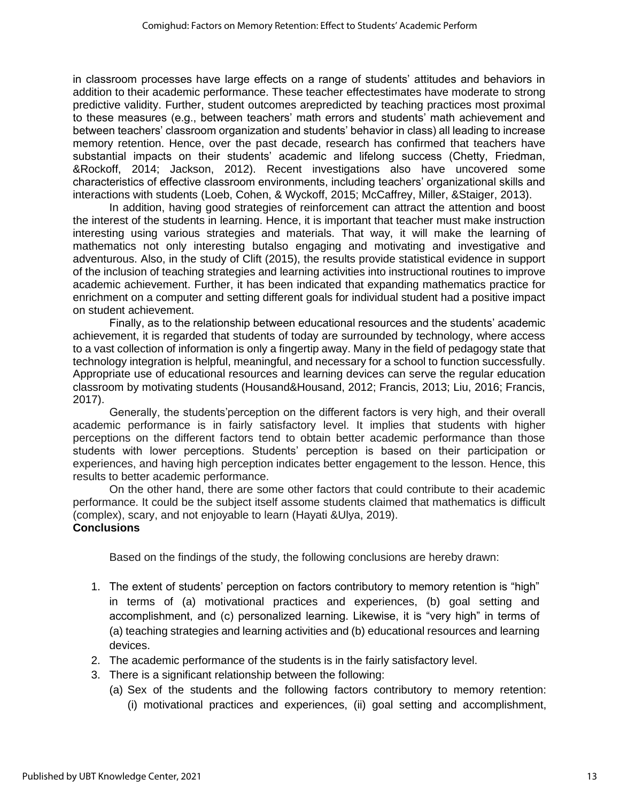in classroom processes have large effects on a range of students' attitudes and behaviors in addition to their academic performance. These teacher effectestimates have moderate to strong predictive validity. Further, student outcomes arepredicted by teaching practices most proximal to these measures (e.g., between teachers' math errors and students' math achievement and between teachers' classroom organization and students' behavior in class) all leading to increase memory retention. Hence, over the past decade, research has confirmed that teachers have substantial impacts on their students' academic and lifelong success (Chetty, Friedman, &Rockoff, 2014; Jackson, 2012). Recent investigations also have uncovered some characteristics of effective classroom environments, including teachers' organizational skills and interactions with students (Loeb, Cohen, & Wyckoff, 2015; McCaffrey, Miller, &Staiger, 2013).

In addition, having good strategies of reinforcement can attract the attention and boost the interest of the students in learning. Hence, it is important that teacher must make instruction interesting using various strategies and materials. That way, it will make the learning of mathematics not only interesting butalso engaging and motivating and investigative and adventurous. Also, in the study of Clift (2015), the results provide statistical evidence in support of the inclusion of teaching strategies and learning activities into instructional routines to improve academic achievement. Further, it has been indicated that expanding mathematics practice for enrichment on a computer and setting different goals for individual student had a positive impact on student achievement.

Finally, as to the relationship between educational resources and the students' academic achievement, it is regarded that students of today are surrounded by technology, where access to a vast collection of information is only a fingertip away. Many in the field of pedagogy state that technology integration is helpful, meaningful, and necessary for a school to function successfully. Appropriate use of educational resources and learning devices can serve the regular education classroom by motivating students (Housand&Housand, 2012; Francis, 2013; Liu, 2016; Francis, 2017).

Generally, the students'perception on the different factors is very high, and their overall academic performance is in fairly satisfactory level. It implies that students with higher perceptions on the different factors tend to obtain better academic performance than those students with lower perceptions. Students' perception is based on their participation or experiences, and having high perception indicates better engagement to the lesson. Hence, this results to better academic performance.

On the other hand, there are some other factors that could contribute to their academic performance. It could be the subject itself assome students claimed that mathematics is difficult (complex), scary, and not enjoyable to learn (Hayati &Ulya, 2019). **Conclusions**

Based on the findings of the study, the following conclusions are hereby drawn:

- 1. The extent of students' perception on factors contributory to memory retention is "high" in terms of (a) motivational practices and experiences, (b) goal setting and accomplishment, and (c) personalized learning. Likewise, it is "very high" in terms of (a) teaching strategies and learning activities and (b) educational resources and learning devices.
- 2. The academic performance of the students is in the fairly satisfactory level.
- 3. There is a significant relationship between the following:
	- (a) Sex of the students and the following factors contributory to memory retention: (i) motivational practices and experiences, (ii) goal setting and accomplishment,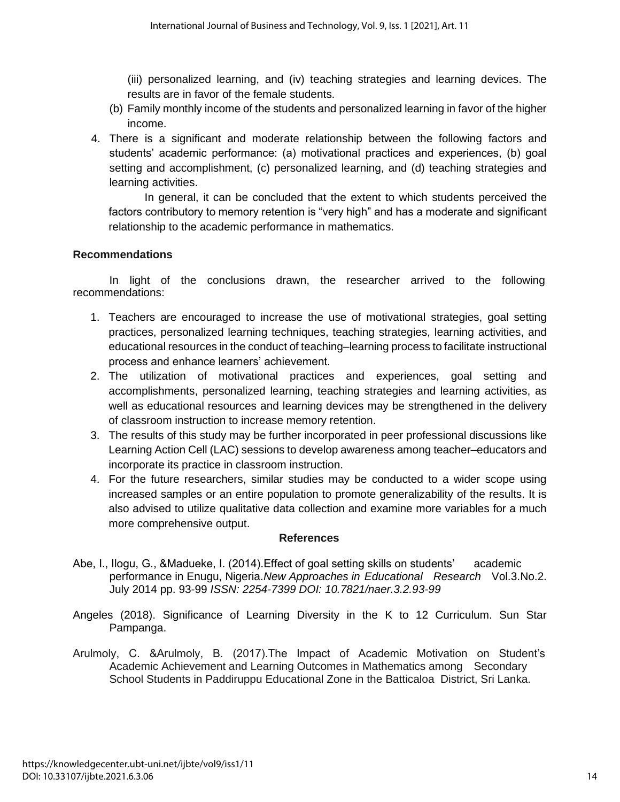(iii) personalized learning, and (iv) teaching strategies and learning devices. The results are in favor of the female students.

- (b) Family monthly income of the students and personalized learning in favor of the higher income.
- 4. There is a significant and moderate relationship between the following factors and students' academic performance: (a) motivational practices and experiences, (b) goal setting and accomplishment, (c) personalized learning, and (d) teaching strategies and learning activities.

In general, it can be concluded that the extent to which students perceived the factors contributory to memory retention is "very high" and has a moderate and significant relationship to the academic performance in mathematics.

### **Recommendations**

In light of the conclusions drawn, the researcher arrived to the following recommendations:

- 1. Teachers are encouraged to increase the use of motivational strategies, goal setting practices, personalized learning techniques, teaching strategies, learning activities, and educational resources in the conduct of teaching–learning process to facilitate instructional process and enhance learners' achievement.
- 2. The utilization of motivational practices and experiences, goal setting and accomplishments, personalized learning, teaching strategies and learning activities, as well as educational resources and learning devices may be strengthened in the delivery of classroom instruction to increase memory retention.
- 3. The results of this study may be further incorporated in peer professional discussions like Learning Action Cell (LAC) sessions to develop awareness among teacher–educators and incorporate its practice in classroom instruction.
- 4. For the future researchers, similar studies may be conducted to a wider scope using increased samples or an entire population to promote generalizability of the results. It is also advised to utilize qualitative data collection and examine more variables for a much more comprehensive output.

### **References**

- Abe, I., Ilogu, G., &Madueke, I. (2014).Effect of goal setting skills on students' academic performance in Enugu, Nigeria.*New Approaches in Educational Research* Vol.3.No.2. July 2014 pp. 93-99 *ISSN: 2254-7399 DOI: 10.7821/naer.3.2.93-99*
- Angeles (2018). Significance of Learning Diversity in the K to 12 Curriculum. Sun Star Pampanga.
- Arulmoly, C. &Arulmoly, B. (2017).The Impact of Academic Motivation on Student's Academic Achievement and Learning Outcomes in Mathematics among Secondary School Students in Paddiruppu Educational Zone in the Batticaloa District, Sri Lanka.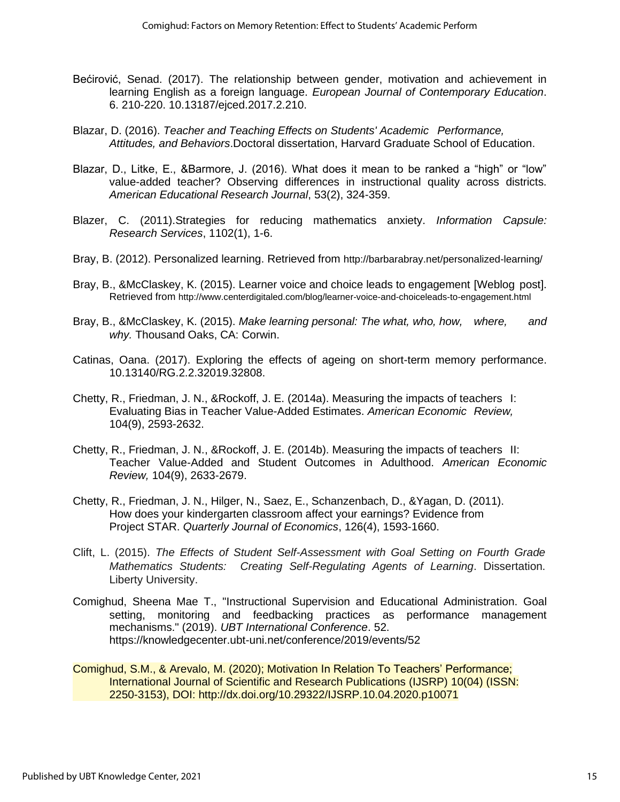- Bećirović, Senad. (2017). The relationship between gender, motivation and achievement in learning English as a foreign language. *European Journal of Contemporary Education*. 6. 210-220. 10.13187/ejced.2017.2.210.
- Blazar, D. (2016). *Teacher and Teaching Effects on Students' Academic Performance, Attitudes, and Behaviors*.Doctoral dissertation, Harvard Graduate School of Education.
- Blazar, D., Litke, E., &Barmore, J. (2016). What does it mean to be ranked a "high" or "low" value-added teacher? Observing differences in instructional quality across districts. *American Educational Research Journal*, 53(2), 324-359.
- Blazer, C. (2011).Strategies for reducing mathematics anxiety. *Information Capsule: Research Services*, 1102(1), 1-6.
- Bray, B. (2012). Personalized learning. Retrieved from [http://barbarabray.net/p](http://barbarabray.net/)ersonalized-learning/
- Bray, B., &McClaskey, K. (2015). Learner voice and choice leads to engagement [Weblog post]. Retrieved from [http://www.c](http://www/)enterdigitaled.com/blog/learner-voice-and-choiceleads-to-engagement.html
- Bray, B., &McClaskey, K. (2015). *Make learning personal: The what, who, how, where, and why.* Thousand Oaks, CA: Corwin.
- Catinas, Oana. (2017). Exploring the effects of ageing on short-term memory performance. 10.13140/RG.2.2.32019.32808.
- Chetty, R., Friedman, J. N., &Rockoff, J. E. (2014a). Measuring the impacts of teachers I: Evaluating Bias in Teacher Value-Added Estimates. *American Economic Review,* 104(9), 2593-2632.
- Chetty, R., Friedman, J. N., &Rockoff, J. E. (2014b). Measuring the impacts of teachers II: Teacher Value-Added and Student Outcomes in Adulthood. *American Economic Review,* 104(9), 2633-2679.
- Chetty, R., Friedman, J. N., Hilger, N., Saez, E., Schanzenbach, D., &Yagan, D. (2011). How does your kindergarten classroom affect your earnings? Evidence from Project STAR. *Quarterly Journal of Economics*, 126(4), 1593-1660.
- Clift, L. (2015). *The Effects of Student Self-Assessment with Goal Setting on Fourth Grade Mathematics Students: Creating Self-Regulating Agents of Learning*. Dissertation. Liberty University.
- Comighud, Sheena Mae T., "Instructional Supervision and Educational Administration. Goal setting, monitoring and feedbacking practices as performance management mechanisms." (2019). *UBT International Conference*. 52. https://knowledgecenter.ubt-uni.net/conference/2019/events/52
- Comighud, S.M., & Arevalo, M. (2020); Motivation In Relation To Teachers' Performance; International Journal of Scientific and Research Publications (IJSRP) 10(04) (ISSN: 2250-3153), DOI: http://dx.doi.org/10.29322/IJSRP.10.04.2020.p10071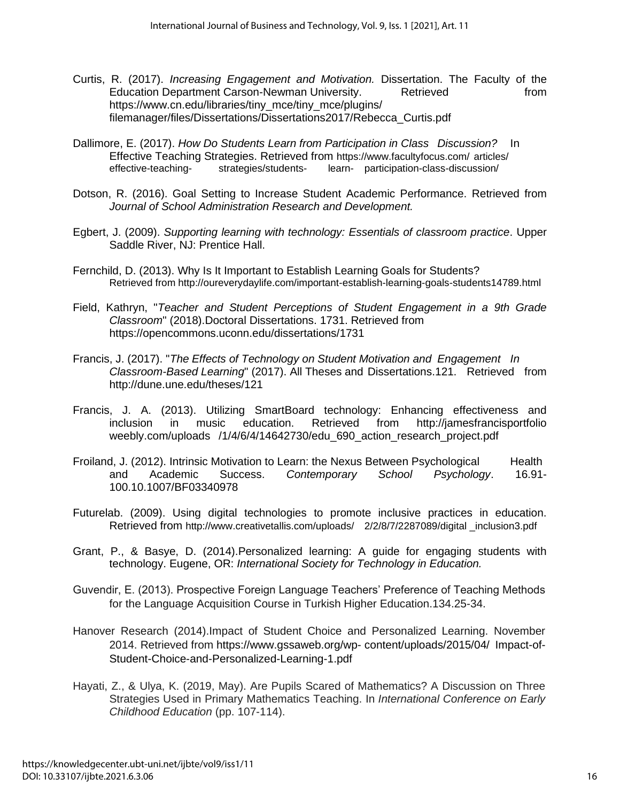- Curtis, R. (2017). *Increasing Engagement and Motivation.* Dissertation. The Faculty of the Education Department Carson-Newman University. Retrieved from [https://www.cn.edu/libraries/tiny\\_mce/tiny\\_mce/plugins/](https://www.cn.edu/libraries/tiny_mce/tiny_mce/plugins/) filemanager/files/Dissertations/Dissertations2017/Rebecca\_Curtis.pdf
- Dallimore, E. (2017). *How Do Students Learn from Participation in Class Discussion?* In Effective Teaching Strategies. Retrieved from [https://www.facultyfocus.com/ articles/](https://www.facultyfocus.com/%20%09articles/%20%09effective-teaching-%09strategies/students-%09learn-)  effective-teaching- [strategies/students-](https://www.facultyfocus.com/%20%09articles/%20%09effective-teaching-%09strategies/students-%09learn-) learn- participation-class-discussion/
- Dotson, R. (2016). Goal Setting to Increase Student Academic Performance. Retrieved from *Journal of School Administration Research and Development.*
- Egbert, J. (2009). *Supporting learning with technology: Essentials of classroom practice*. Upper Saddle River, NJ: Prentice Hall.
- Fernchild, D. (2013). Why Is It Important to Establish Learning Goals for Students? Retrieved from [http://oureverydaylife.com/important-establish-learning-g](http://oureverydaylife.com/important-establish-learning-)oals-students14789.html
- Field, Kathryn, "*Teacher and Student Perceptions of Student Engagement in a 9th Grade Classroom*" (2018).Doctoral Dissertations. 1731. Retrieved from <https://opencommons.uconn.edu/dissertations/1731>
- Francis, J. (2017). "*The Effects of Technology on Student Motivation and Engagement In Classroom-Based Learning*" (2017). All Theses and Dissertations.121. Retrieved from <http://dune.une.edu/theses/121>
- Francis, J. A. (2013). Utilizing SmartBoard technology: Enhancing effectiveness and inclusion in music education. Retrieved from [http://jamesf](http://james/)rancisportfolio weebly.com/uploads /1/4/6/4/14642730/edu 690 action research project.pdf
- Froiland, J. (2012). Intrinsic Motivation to Learn: the Nexus Between Psychological Health and Academic Success. *Contemporary School Psychology*. 16.91- 100.10.1007/BF03340978
- Futurelab. (2009). Using digital technologies to promote inclusive practices in education. Retrieved from <http://www.creativetallis.com/uploads/> 2/2/8/7/2287089/digital \_inclusion3.pdf
- Grant, P., & Basye, D. (2014).Personalized learning: A guide for engaging students with technology. Eugene, OR: *International Society for Technology in Education.*
- Guvendir, E. (2013). Prospective Foreign Language Teachers' Preference of Teaching Methods for the Language Acquisition Course in Turkish Higher Education.134.25-34.
- Hanover Research (2014).Impact of Student Choice and Personalized Learning. November 2014. Retrieved from<https://www.gssaweb.org/wp-> content/uploads/2015/04/ Impact-of-Student-Choice-and-Personalized-Learning-1.pdf
- Hayati, Z., & Ulya, K. (2019, May). Are Pupils Scared of Mathematics? A Discussion on Three Strategies Used in Primary Mathematics Teaching. In *International Conference on Early Childhood Education* (pp. 107-114).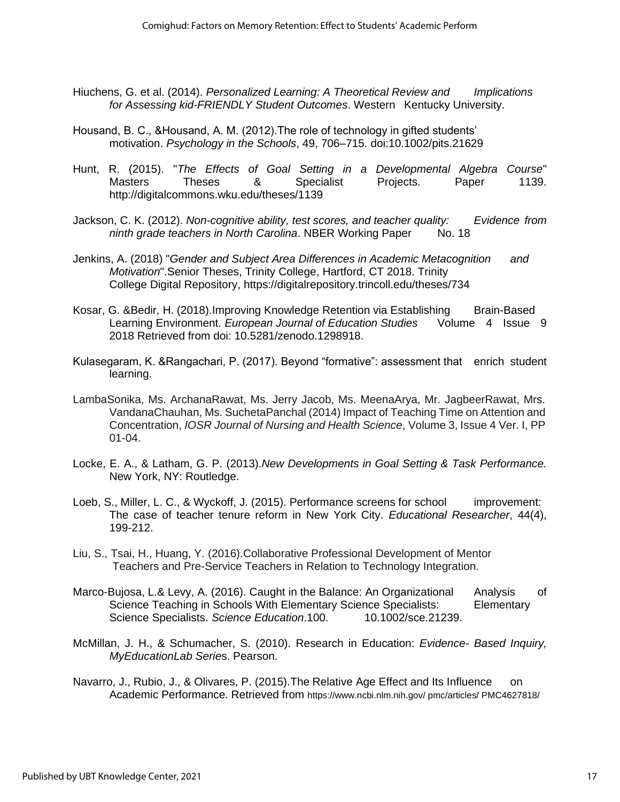- Hiuchens, G. et al. (2014). *Personalized Learning: A Theoretical Review and Implications for Assessing kid-FRIENDLY Student Outcomes*. Western Kentucky University.
- Housand, B. C., &Housand, A. M. (2012).The role of technology in gifted students' motivation. *Psychology in the Schools*, 49, 706–715. doi:10.1002/pits.21629
- Hunt, R. (2015). "*The Effects of Goal Setting in a Developmental Algebra Course*" Masters Theses & Specialist Projects. Paper 1139. <http://digitalcommons.wku.edu/theses/1139>
- Jackson, C. K. (2012). *Non-cognitive ability, test scores, and teacher quality: Evidence from ninth grade teachers in North Carolina*. NBER Working Paper No. 18
- Jenkins, A. (2018) "*Gender and Subject Area Differences in Academic Metacognition and Motivation*".Senior Theses, Trinity College, Hartford, CT 2018. Trinity College Digital Repository,<https://digitalrepository.trincoll.edu/theses/734>
- Kosar, G. &Bedir, H. (2018).Improving Knowledge Retention via Establishing Brain-Based Learning Environment. *European Journal of Education Studies* Volume 4 Issue 9 2018 Retrieved from doi: 10.5281/zenodo.1298918.
- Kulasegaram, K. &Rangachari, P. (2017). Beyond "formative": assessment that enrich student learning.
- LambaSonika, Ms. ArchanaRawat, Ms. Jerry Jacob, Ms. MeenaArya, Mr. JagbeerRawat, Mrs. VandanaChauhan, Ms. SuchetaPanchal (2014) Impact of Teaching Time on Attention and Concentration, *IOSR Journal of Nursing and Health Science*, Volume 3, Issue 4 Ver. I, PP 01-04.
- Locke, E. A., & Latham, G. P. (2013).*New Developments in Goal Setting & Task Performance.* New York, NY: Routledge.
- Loeb, S., Miller, L. C., & Wyckoff, J. (2015). Performance screens for school improvement: The case of teacher tenure reform in New York City. *Educational Researcher*, 44(4), 199-212.
- Liu, S., Tsai, H., Huang, Y. (2016).Collaborative Professional Development of Mentor Teachers and Pre-Service Teachers in Relation to Technology Integration.
- Marco-Bujosa, L.& Levy, A. (2016). Caught in the Balance: An Organizational Analysis of Science Teaching in Schools With Elementary Science Specialists: Elementary Science Specialists. Science Education.100. 10.1002/sce.21239.
- McMillan, J. H., & Schumacher, S. (2010). Research in Education: *Evidence- Based Inquiry, MyEducationLab Serie*s. Pearson.
- Navarro, J., Rubio, J., & Olivares, P. (2015). The Relative Age Effect and Its Influence on Academic Performance. Retrieved from [https://www.ncbi.nlm.nih.gov/ pmc/articles/ PMC4627818/](https://www.ncbi.nlm.nih.gov/%20pmc/articles/%20PMC4627818/)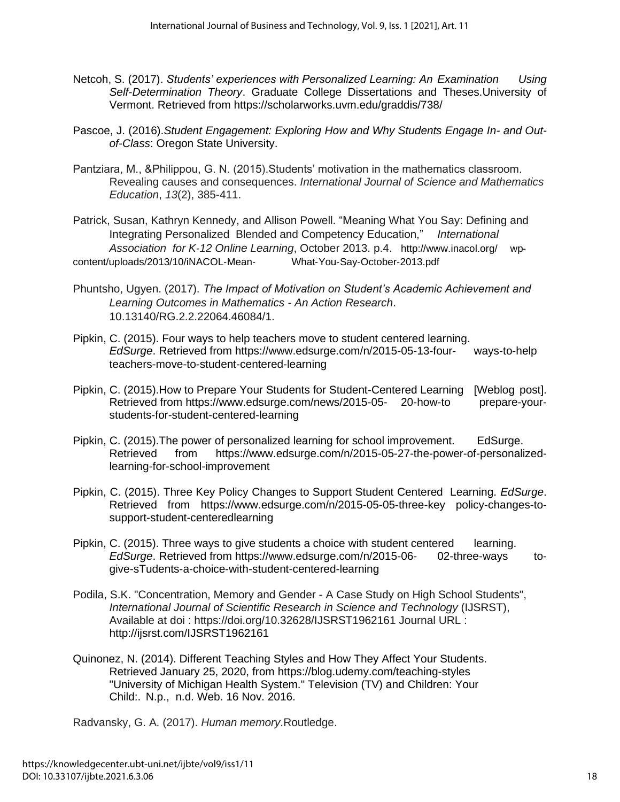- Netcoh, S. (2017). *Students' experiences with Personalized Learning: An Examination Using Self-Determination Theory*. Graduate College Dissertations and Theses.University of Vermont. Retrieved from<https://scholarworks.uvm.edu/graddis/738/>
- Pascoe, J. (2016).*Student Engagement: Exploring How and Why Students Engage In- and Outof-Class*: Oregon State University.
- Pantziara, M., &Philippou, G. N. (2015).Students' motivation in the mathematics classroom. Revealing causes and consequences. *International Journal of Science and Mathematics Education*, *13*(2), 385-411.

Patrick, Susan, Kathryn Kennedy, and Allison Powell. "Meaning What You Say: Defining and Integrating Personalized Blended and Competency Education," *International Association for K‐12 Online Learning*, October 2013. p.4. [http://www.inacol.org/ wp](http://www.inacol.org/%20%09wp%E2%80%90content/uploads/2013/10/iNACOL%E2%80%90Mean%E2%80%90)[‐](http://www.inacol.org/%20%09wp%E2%80%90content/uploads/2013/10/iNACOL%E2%80%90Mean%E2%80%90) [content/uploads/2013/10/iNACOL](http://www.inacol.org/%20%09wp%E2%80%90content/uploads/2013/10/iNACOL%E2%80%90Mean%E2%80%90)[‐](http://www.inacol.org/%20%09wp%E2%80%90content/uploads/2013/10/iNACOL%E2%80%90Mean%E2%80%90)[Mean](http://www.inacol.org/%20%09wp%E2%80%90content/uploads/2013/10/iNACOL%E2%80%90Mean%E2%80%90)[‐](http://www.inacol.org/%20%09wp%E2%80%90content/uploads/2013/10/iNACOL%E2%80%90Mean%E2%80%90) What‐You‐Say‐October‐2013.pdf

- Phuntsho, Ugyen. (2017). *The Impact of Motivation on Student's Academic Achievement and Learning Outcomes in Mathematics - An Action Research*. 10.13140/RG.2.2.22064.46084/1.
- Pipkin, C. (2015). Four ways to help teachers move to student centered learning. *EdSurge*. Retrieved from<https://www.edsurge.com/n/2015-05-13-four-> ways-to-help teachers-move-to-student-centered-learning
- Pipkin, C. (2015).How to Prepare Your Students for Student-Centered Learning [Weblog post]. Retrieved from<https://www.edsurge.com/news/2015-05-> 20-how-to prepare-yourstudents-for-student-centered-learning
- Pipkin, C. (2015).The power of personalized learning for school improvement. EdSurge. Retrieved from [https://www.edsurge.com/n/2015-05-27-the-power-of-personalized](https://www.edsurge.com/n/2015-05-27-the-power-of-personalized-)learning-for-school-improvement
- Pipkin, C. (2015). Three Key Policy Changes to Support Student Centered Learning. *EdSurge*. Retrieved from [https://www.edsurge.com/n/2015-05-0](https://www.edsurge.com/n/2015-05-)5-three-key policy-changes-tosupport-student-centeredlearning
- Pipkin, C. (2015). Three ways to give students a choice with student centered learning. *EdSurge*. Retrieved from<https://www.edsurge.com/n/2015-06-> 02-three-ways togive-sTudents-a-choice-with-student-centered-learning
- Podila, S.K. "Concentration, Memory and Gender A Case Study on High School Students", *International Journal of Scientific Research in Science and Technology* (IJSRST), Available at doi : https://doi.org/10.32628/IJSRST1962161 Journal URL : <http://ijsrst.com/IJSRST1962161>
- Quinonez, N. (2014). Different Teaching Styles and How They Affect Your Students. Retrieved January 25, 2020, from<https://blog.udemy.com/teaching-styles> "University of Michigan Health System." Television (TV) and Children: Your Child:. N.p., n.d. Web. 16 Nov. 2016.

Radvansky, G. A. (2017). *Human memory*.Routledge.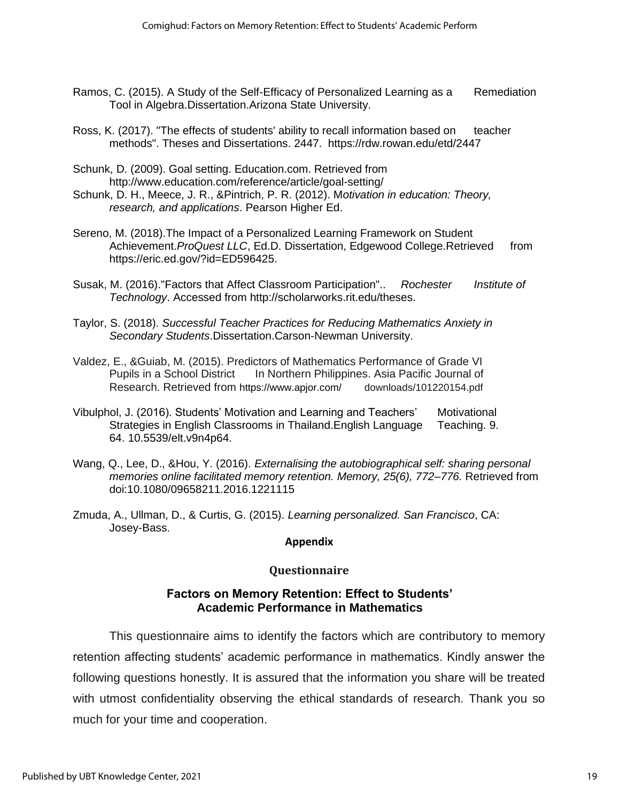- Ramos, C. (2015). A Study of the Self-Efficacy of Personalized Learning as a Remediation Tool in Algebra.Dissertation.Arizona State University.
- Ross, K. (2017). "The effects of students' ability to recall information based on teacher methods". Theses and Dissertations. 2447. <https://rdw.rowan.edu/etd/2447>
- Schunk, D. (2009). Goal setting. Education.com. Retrieved from http://www.education.com/reference/article/goal-setting/
- Schunk, D. H., Meece, J. R., &Pintrich, P. R. (2012). M*otivation in education: Theory, research, and applications*. Pearson Higher Ed.
- Sereno, M. (2018).The Impact of a Personalized Learning Framework on Student Achievement.*ProQuest LLC*, Ed.D. Dissertation, Edgewood College.Retrieved from [https://eric.ed.gov/?id=ED596425.](https://eric.ed.gov/?id=ED596425)
- Susak, M. (2016)."Factors that Affect Classroom Participation".. *Rochester Institute of Technology*. Accessed from [http://scholarworks.rit.edu/theses.](http://scholarworks.rit.edu/theses)
- Taylor, S. (2018). *Successful Teacher Practices for Reducing Mathematics Anxiety in Secondary Students*.Dissertation.Carson-Newman University.
- Valdez, E., &Guiab, M. (2015). Predictors of Mathematics Performance of Grade VI Pupils in a School District In Northern Philippines. Asia Pacific Journal of Research. Retrieved from <https://www.apjor.com/> downloads/101220154.pdf
- Vibulphol, J. (2016). Students' Motivation and Learning and Teachers' Motivational Strategies in English Classrooms in Thailand.English Language Teaching. 9. 64. 10.5539/elt.v9n4p64.
- Wang, Q., Lee, D., &Hou, Y. (2016). *Externalising the autobiographical self: sharing personal memories online facilitated memory retention. Memory, 25(6), 772–776.* Retrieved from doi:10.1080/09658211.2016.1221115
- Zmuda, A., Ullman, D., & Curtis, G. (2015). *Learning personalized. San Francisco*, CA: Josey-Bass.

### **Appendix**

# **Questionnaire**

# **Factors on Memory Retention: Effect to Students' Academic Performance in Mathematics**

This questionnaire aims to identify the factors which are contributory to memory retention affecting students' academic performance in mathematics. Kindly answer the following questions honestly. It is assured that the information you share will be treated with utmost confidentiality observing the ethical standards of research. Thank you so much for your time and cooperation.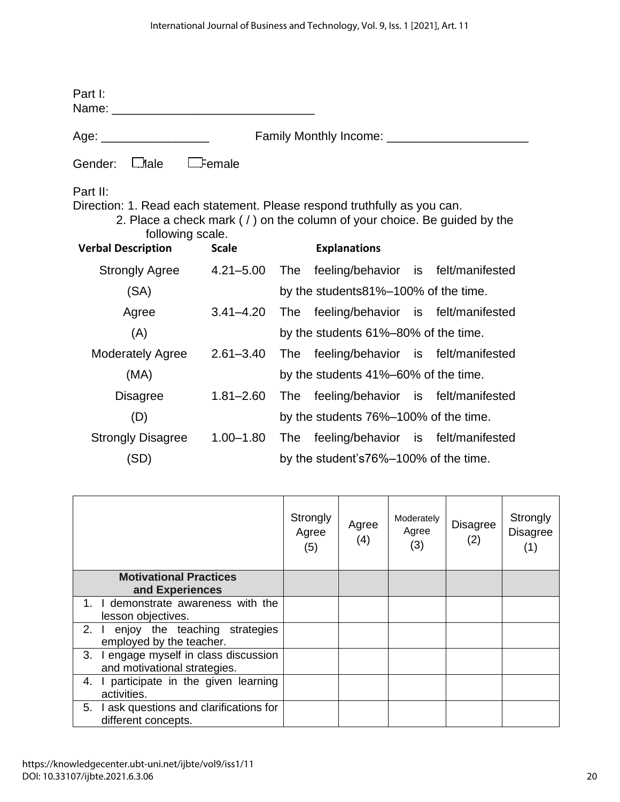| Part I:<br>Name: when the contract of the contract of the contract of the contract of the contract of the contract of the                                                                                         |                                       |                                       |                    |                     |  |  |                                     |       |
|-------------------------------------------------------------------------------------------------------------------------------------------------------------------------------------------------------------------|---------------------------------------|---------------------------------------|--------------------|---------------------|--|--|-------------------------------------|-------|
| Age:                                                                                                                                                                                                              |                                       |                                       |                    |                     |  |  |                                     |       |
| $\Box$ lale<br>Gender:                                                                                                                                                                                            | emale:                                |                                       |                    |                     |  |  |                                     |       |
| Part II:<br>Direction: 1. Read each statement. Please respond truthfully as you can.<br>2. Place a check mark (/) on the column of your choice. Be guided by the<br>following scale.<br><b>Verbal Description</b> | <b>Scale</b>                          |                                       |                    | <b>Explanations</b> |  |  |                                     |       |
| <b>Strongly Agree</b>                                                                                                                                                                                             | $4.21 - 5.00$                         | <b>The</b>                            |                    |                     |  |  | feeling/behavior is felt/manifested |       |
| (SA)                                                                                                                                                                                                              |                                       | by the students 81%–100% of the time. |                    |                     |  |  |                                     |       |
| Agree                                                                                                                                                                                                             | $3.41 - 4.20$                         | <b>The</b>                            |                    |                     |  |  | feeling/behavior is felt/manifested |       |
| (A)                                                                                                                                                                                                               | by the students 61%-80% of the time.  |                                       |                    |                     |  |  |                                     |       |
| <b>Moderately Agree</b>                                                                                                                                                                                           | $2.61 - 3.40$                         | <b>The</b>                            |                    |                     |  |  | feeling/behavior is felt/manifested |       |
| (MA)                                                                                                                                                                                                              | by the students 41%-60% of the time.  |                                       |                    |                     |  |  |                                     |       |
| <b>Disagree</b>                                                                                                                                                                                                   | $1.81 - 2.60$                         | <b>The</b>                            |                    |                     |  |  | feeling/behavior is felt/manifested |       |
| (D)                                                                                                                                                                                                               |                                       | by the students 76%–100% of the time. |                    |                     |  |  |                                     |       |
| <b>Strongly Disagree</b>                                                                                                                                                                                          | $1.00 - 1.80$                         | <b>The</b>                            |                    |                     |  |  | feeling/behavior is felt/manifested |       |
| (SD)                                                                                                                                                                                                              | by the student's76%–100% of the time. |                                       |                    |                     |  |  |                                     |       |
|                                                                                                                                                                                                                   |                                       |                                       |                    |                     |  |  |                                     |       |
|                                                                                                                                                                                                                   |                                       |                                       | $Q_{\text{total}}$ |                     |  |  |                                     | 0.442 |

|                                                                           | Strongly<br>Agree<br>(5) | Agree<br>(4) | Moderately<br>Agree<br>(3) | <b>Disagree</b><br>(2) | Strongly<br><b>Disagree</b><br>(1) |
|---------------------------------------------------------------------------|--------------------------|--------------|----------------------------|------------------------|------------------------------------|
| <b>Motivational Practices</b>                                             |                          |              |                            |                        |                                    |
| and Experiences<br>I demonstrate awareness with the<br>$1_{-}$            |                          |              |                            |                        |                                    |
| lesson objectives.                                                        |                          |              |                            |                        |                                    |
| enjoy the teaching strategies<br>2.<br>employed by the teacher.           |                          |              |                            |                        |                                    |
| I engage myself in class discussion<br>3.<br>and motivational strategies. |                          |              |                            |                        |                                    |
| participate in the given learning<br>4.<br>activities.                    |                          |              |                            |                        |                                    |
| I ask questions and clarifications for<br>5.<br>different concepts.       |                          |              |                            |                        |                                    |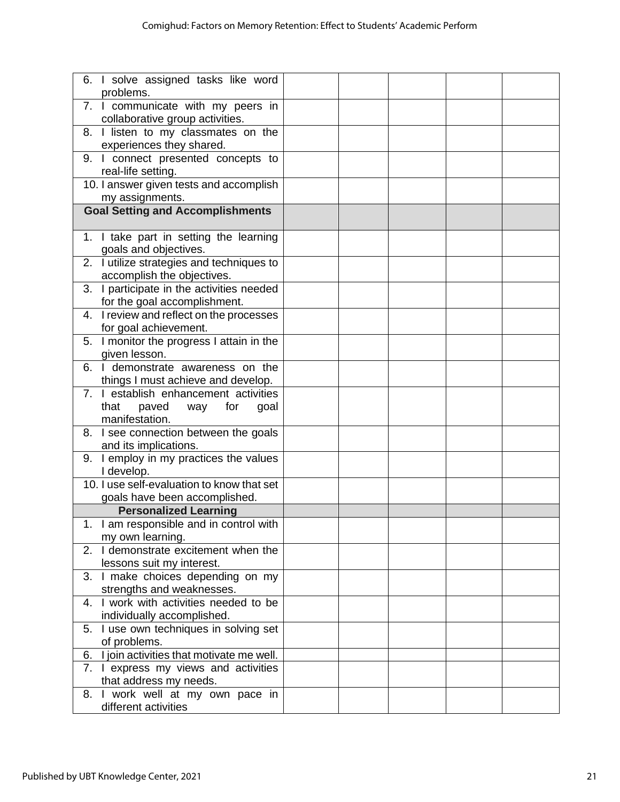| 6. I solve assigned tasks like word<br>problems.                                               |  |  |  |
|------------------------------------------------------------------------------------------------|--|--|--|
| 7. I communicate with my peers in<br>collaborative group activities.                           |  |  |  |
| 8. I listen to my classmates on the<br>experiences they shared.                                |  |  |  |
| 9. I connect presented concepts to<br>real-life setting.                                       |  |  |  |
| 10. I answer given tests and accomplish<br>my assignments.                                     |  |  |  |
| <b>Goal Setting and Accomplishments</b>                                                        |  |  |  |
| 1. I take part in setting the learning<br>goals and objectives.                                |  |  |  |
| 2. I utilize strategies and techniques to<br>accomplish the objectives.                        |  |  |  |
| 3. I participate in the activities needed<br>for the goal accomplishment.                      |  |  |  |
| 4. I review and reflect on the processes<br>for goal achievement.                              |  |  |  |
| 5. I monitor the progress I attain in the<br>given lesson.                                     |  |  |  |
| I demonstrate awareness on the<br>6.<br>things I must achieve and develop.                     |  |  |  |
| 7. I establish enhancement activities<br>that<br>paved<br>way<br>for<br>goal<br>manifestation. |  |  |  |
| 8. I see connection between the goals<br>and its implications.                                 |  |  |  |
| 9. I employ in my practices the values<br>I develop.                                           |  |  |  |
| 10. I use self-evaluation to know that set<br>goals have been accomplished.                    |  |  |  |
| <b>Personalized Learning</b>                                                                   |  |  |  |
| 1. I am responsible and in control with<br>my own learning.                                    |  |  |  |
| 2. I demonstrate excitement when the<br>lessons suit my interest.                              |  |  |  |
| 3. I make choices depending on my<br>strengths and weaknesses.                                 |  |  |  |
| 4. I work with activities needed to be<br>individually accomplished.                           |  |  |  |
| I use own techniques in solving set<br>5.<br>of problems.                                      |  |  |  |
| I join activities that motivate me well.<br>6.                                                 |  |  |  |
| 7. I express my views and activities<br>that address my needs.                                 |  |  |  |
| 8. I work well at my own pace in<br>different activities                                       |  |  |  |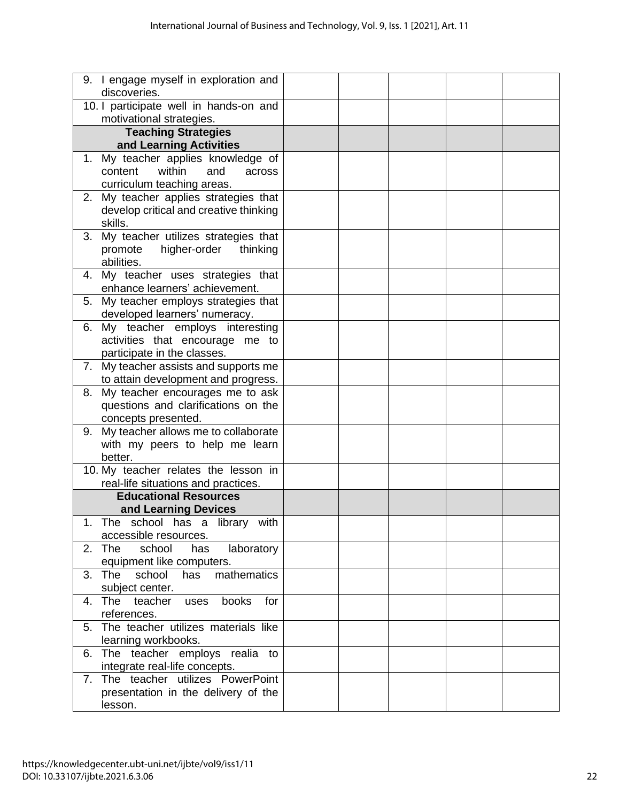| 9. I engage myself in exploration and<br>discoveries.                       |  |  |  |
|-----------------------------------------------------------------------------|--|--|--|
| 10. I participate well in hands-on and<br>motivational strategies.          |  |  |  |
|                                                                             |  |  |  |
| <b>Teaching Strategies</b><br>and Learning Activities                       |  |  |  |
| 1. My teacher applies knowledge of                                          |  |  |  |
| within<br>content<br>and<br>across                                          |  |  |  |
| curriculum teaching areas.                                                  |  |  |  |
| 2. My teacher applies strategies that                                       |  |  |  |
| develop critical and creative thinking                                      |  |  |  |
| skills.                                                                     |  |  |  |
| 3. My teacher utilizes strategies that                                      |  |  |  |
| higher-order<br>promote<br>thinking                                         |  |  |  |
| abilities.                                                                  |  |  |  |
| 4. My teacher uses strategies that<br>enhance learners' achievement.        |  |  |  |
| 5. My teacher employs strategies that                                       |  |  |  |
| developed learners' numeracy.                                               |  |  |  |
| 6. My teacher employs interesting                                           |  |  |  |
| activities that encourage me to                                             |  |  |  |
| participate in the classes.                                                 |  |  |  |
| 7. My teacher assists and supports me                                       |  |  |  |
| to attain development and progress.                                         |  |  |  |
| My teacher encourages me to ask<br>8.                                       |  |  |  |
| questions and clarifications on the                                         |  |  |  |
| concepts presented.                                                         |  |  |  |
| 9. My teacher allows me to collaborate                                      |  |  |  |
| with my peers to help me learn                                              |  |  |  |
| better.                                                                     |  |  |  |
| 10. My teacher relates the lesson in<br>real-life situations and practices. |  |  |  |
| <b>Educational Resources</b>                                                |  |  |  |
| and Learning Devices                                                        |  |  |  |
| The school has a library with<br>1                                          |  |  |  |
| accessible resources.                                                       |  |  |  |
| 2. The<br>school<br>laboratory<br>has                                       |  |  |  |
| equipment like computers.                                                   |  |  |  |
| mathematics<br>school<br>3. The<br>has                                      |  |  |  |
| subject center.                                                             |  |  |  |
| 4. The teacher<br>books<br>for<br>uses                                      |  |  |  |
| references.                                                                 |  |  |  |
| 5. The teacher utilizes materials like                                      |  |  |  |
| learning workbooks.                                                         |  |  |  |
| The teacher employs realia to<br>6.                                         |  |  |  |
| integrate real-life concepts.                                               |  |  |  |
| The teacher utilizes PowerPoint<br>7.                                       |  |  |  |
| presentation in the delivery of the                                         |  |  |  |
| lesson.                                                                     |  |  |  |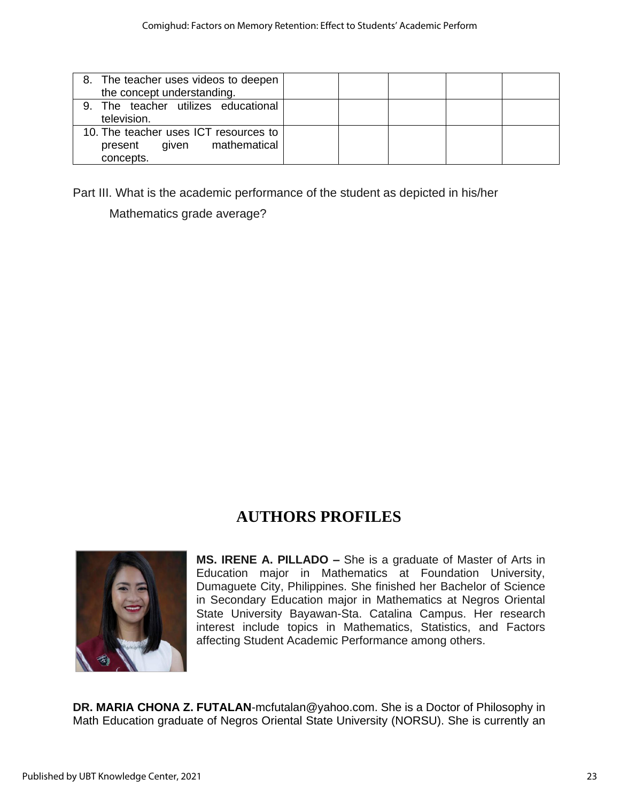| 8. The teacher uses videos to deepen<br>the concept understanding.                     |  |  |  |
|----------------------------------------------------------------------------------------|--|--|--|
| 9. The teacher utilizes educational<br>television.                                     |  |  |  |
| 10. The teacher uses ICT resources to<br>mathematical<br>aiven<br>present<br>concepts. |  |  |  |

Part III. What is the academic performance of the student as depicted in his/her

Mathematics grade average?

# **AUTHORS PROFILES**



**MS. IRENE A. PILLADO –** She is a graduate of Master of Arts in Education major in Mathematics at Foundation University, Dumaguete City, Philippines. She finished her Bachelor of Science in Secondary Education major in Mathematics at Negros Oriental State University Bayawan-Sta. Catalina Campus. Her research interest include topics in Mathematics, Statistics, and Factors affecting Student Academic Performance among others.

**DR. MARIA CHONA Z. FUTALAN**[-mcfutalan@yahoo.com.](mailto:mcfutalan@yahoo.com) She is a Doctor of Philosophy in Math Education graduate of Negros Oriental State University (NORSU). She is currently an